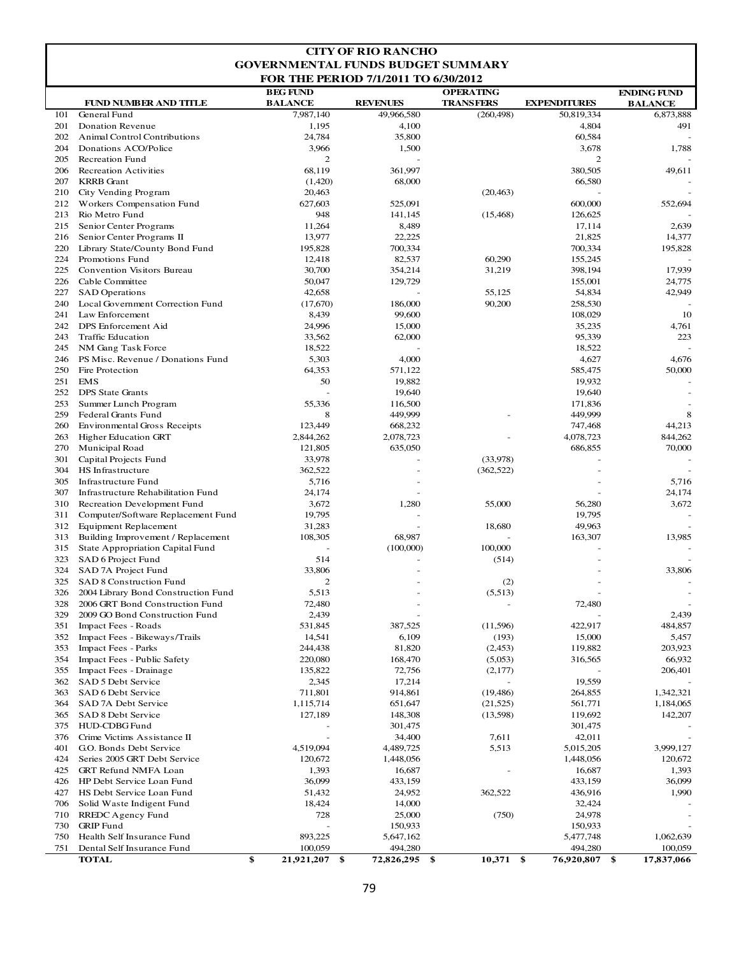| <b>GOVERNMENTAL FUNDS BUDGET SUMMARY</b><br><b>FOR THE PERIOD 7/1/2011 TO 6/30/2012</b><br><b>BEG FUND</b><br><b>OPERATING</b><br><b>ENDING FUND</b><br><b>BALANCE</b><br><b>REVENUES</b><br><b>TRANSFERS</b><br><b>EXPENDITURES</b><br><b>FUND NUMBER AND TITLE</b><br><b>BALANCE</b><br>101<br>General Fund<br>7,987,140<br>49,966,580<br>50,819,334<br>6,873,888<br>(260, 498)<br>201<br><b>Donation Revenue</b><br>1,195<br>4,100<br>4,804<br>491<br>24,784<br>202<br><b>Animal Control Contributions</b><br>35,800<br>60,584<br>3,966<br>204<br>Donations ACO/Police<br>1,500<br>3,678<br>1,788<br>205<br><b>Recreation Fund</b><br>2<br>2<br>206<br><b>Recreation Activities</b><br>68,119<br>361,997<br>380,505<br>49,611<br>207<br><b>KRRB</b> Grant<br>(1,420)<br>68,000<br>66,580<br>20,463<br>(20, 463)<br>210<br>City Vending Program<br>212<br>Workers Compensation Fund<br>627,603<br>525,091<br>600,000<br>552,694<br>213<br>Rio Metro Fund<br>948<br>141,145<br>126,625<br>(15, 468)<br>215<br>Senior Center Programs<br>11,264<br>8,489<br>17,114<br>2,639<br>22,225<br>21,825<br>216<br>Senior Center Programs II<br>13,977<br>14,377<br>700,334<br>220<br>Library State/County Bond Fund<br>195,828<br>700,334<br>195,828<br>224<br>Promotions Fund<br>12,418<br>82,537<br>60,290<br>155,245<br>225<br>Convention Visitors Bureau<br>30,700<br>354,214<br>31,219<br>398,194<br>17,939<br>226<br>Cable Committee<br>50,047<br>129,729<br>155,001<br>24,775<br>42,949<br>227<br><b>SAD</b> Operations<br>42,658<br>55,125<br>54,834<br>240<br>Local Government Correction Fund<br>(17,670)<br>186,000<br>90,200<br>258,530<br>241<br>Law Enforcement<br>8,439<br>99,600<br>108,029<br>10<br>24,996<br>DPS Enforcement Aid<br>35,235<br>4,761<br>242<br>15,000<br>33,562<br>95,339<br>243<br><b>Traffic Education</b><br>62,000<br>223<br>245<br>NM Gang Task Force<br>18,522<br>18,522<br>5,303<br>PS Misc. Revenue / Donations Fund<br>4,000<br>4,627<br>4,676<br>246<br>64,353<br>250<br>Fire Protection<br>571,122<br>585,475<br>50,000<br>19,932<br>251<br><b>EMS</b><br>50<br>19,882<br>252<br><b>DPS</b> State Grants<br>19,640<br>19,640<br>253<br>Summer Lunch Program<br>55,336<br>116,500<br>171,836<br>449,999<br>259<br>Federal Grants Fund<br>8<br>449,999<br>8<br>260<br><b>Environmental Gross Receipts</b><br>123,449<br>668,232<br>747,468<br>44,213<br><b>Higher Education GRT</b><br>2,844,262<br>2,078,723<br>4,078,723<br>844,262<br>263<br>270<br>Municipal Road<br>121,805<br>635,050<br>686,855<br>70,000<br>33,978<br>301<br>Capital Projects Fund<br>(33,978)<br>362,522<br>304<br>HS Infrastructure<br>(362, 522)<br>5,716<br>305<br><b>Infrastructure Fund</b><br>5,716<br>307<br><b>Infrastructure Rehabilitation Fund</b><br>24,174<br>24,174<br>310<br>3,672<br>1,280<br>55,000<br>56,280<br>3,672<br>Recreation Development Fund<br>311<br>Computer/Software Replacement Fund<br>19,795<br>19,795<br>49,963<br>312<br><b>Equipment Replacement</b><br>31,283<br>18,680<br>313<br>Building Improvement / Replacement<br>108,305<br>68,987<br>163,307<br>13,985<br>100,000<br>315<br>State Appropriation Capital Fund<br>(100,000)<br>323<br>SAD 6 Project Fund<br>514<br>(514)<br>324<br>SAD 7A Project Fund<br>33,806<br>33,806<br>325 SAD 8 Construction Fund<br>2<br>(2)<br>2004 Library Bond Construction Fund<br>5,513<br>326<br>(5,513)<br>328<br>72,480<br>72,480<br>2006 GRT Bond Construction Fund<br>329<br>2009 GO Bond Construction Fund<br>2,439<br>2,439<br>351<br>387,525<br>422,917<br>Impact Fees - Roads<br>531,845<br>(11,596)<br>484,857<br>(193)<br>352<br>Impact Fees - Bikeways/Trails<br>14,541<br>6,109<br>15,000<br>5,457<br>353<br><b>Impact Fees - Parks</b><br>244,438<br>81,820<br>(2,453)<br>119,882<br>203,923<br>354<br>Impact Fees - Public Safety<br>220,080<br>168,470<br>(5,053)<br>316,565<br>66,932<br>355<br>Impact Fees - Drainage<br>135,822<br>72,756<br>(2,177)<br>206,401<br>2,345<br>19,559<br>362<br>SAD 5 Debt Service<br>17,214<br>SAD 6 Debt Service<br>914,861<br>(19, 486)<br>1,342,321<br>363<br>711,801<br>264,855<br>364<br>SAD 7A Debt Service<br>1,115,714<br>651,647<br>(21, 525)<br>561,771<br>1,184,065<br>365<br>SAD 8 Debt Service<br>127,189<br>148,308<br>(13,598)<br>119,692<br>142,207<br>375<br>HUD-CDBG Fund<br>301,475<br>301,475<br>Crime Victims Assistance II<br>42,011<br>376<br>34,400<br>7,611<br>401<br>G.O. Bonds Debt Service<br>4,519,094<br>4,489,725<br>5,513<br>5,015,205<br>3,999,127<br>424<br>Series 2005 GRT Debt Service<br>120,672<br>1,448,056<br>1,448,056<br>120,672<br>425<br><b>GRT Refund NMFA Loan</b><br>1,393<br>16,687<br>16,687<br>1,393<br>36,099<br>426<br>HP Debt Service Loan Fund<br>433,159<br>433,159<br>36,099<br>HS Debt Service Loan Fund<br>436,916<br>427<br>51,432<br>24,952<br>362,522<br>1,990<br>706<br>Solid Waste Indigent Fund<br>18,424<br>14,000<br>32,424<br>728<br>24,978<br>710<br>RREDC Agency Fund<br>25,000<br>(750)<br>730<br><b>GRIP</b> Fund<br>150,933<br>150,933<br>Health Self Insurance Fund<br>893,225<br>1,062,639<br>750<br>5,647,162<br>5,477,748<br>494,280<br>751<br>Dental Self Insurance Fund<br>100,059<br>494,280<br>100,059<br>\$<br>$10,371$ \$<br><b>TOTAL</b><br>21,921,207 \$<br>72,826,295<br>-\$<br>76,920,807<br>\$<br>17,837,066 | <b>CITY OF RIO RANCHO</b> |  |  |  |  |  |  |  |  |  |  |
|------------------------------------------------------------------------------------------------------------------------------------------------------------------------------------------------------------------------------------------------------------------------------------------------------------------------------------------------------------------------------------------------------------------------------------------------------------------------------------------------------------------------------------------------------------------------------------------------------------------------------------------------------------------------------------------------------------------------------------------------------------------------------------------------------------------------------------------------------------------------------------------------------------------------------------------------------------------------------------------------------------------------------------------------------------------------------------------------------------------------------------------------------------------------------------------------------------------------------------------------------------------------------------------------------------------------------------------------------------------------------------------------------------------------------------------------------------------------------------------------------------------------------------------------------------------------------------------------------------------------------------------------------------------------------------------------------------------------------------------------------------------------------------------------------------------------------------------------------------------------------------------------------------------------------------------------------------------------------------------------------------------------------------------------------------------------------------------------------------------------------------------------------------------------------------------------------------------------------------------------------------------------------------------------------------------------------------------------------------------------------------------------------------------------------------------------------------------------------------------------------------------------------------------------------------------------------------------------------------------------------------------------------------------------------------------------------------------------------------------------------------------------------------------------------------------------------------------------------------------------------------------------------------------------------------------------------------------------------------------------------------------------------------------------------------------------------------------------------------------------------------------------------------------------------------------------------------------------------------------------------------------------------------------------------------------------------------------------------------------------------------------------------------------------------------------------------------------------------------------------------------------------------------------------------------------------------------------------------------------------------------------------------------------------------------------------------------------------------------------------------------------------------------------------------------------------------------------------------------------------------------------------------------------------------------------------------------------------------------------------------------------------------------------------------------------------------------------------------------------------------------------------------------------------------------------------------------------------------------------------------------------------------------------------------------------------------------------------------------------------------------------------------------------------------------------------------------------------------------------------------------------------------------------------------------------------------------------------------------------------------------------------------------------------------------------------------------------------------------------------------------------------------------------------------------------------------------------------------------------------------------------------------------------------------------------------------------------------------------------------------------------------------------------------------------------------------------------------------------------------------------------------------------------------------------------------------------------------------------------------------------------------------------------------------------------------------------------|---------------------------|--|--|--|--|--|--|--|--|--|--|
|                                                                                                                                                                                                                                                                                                                                                                                                                                                                                                                                                                                                                                                                                                                                                                                                                                                                                                                                                                                                                                                                                                                                                                                                                                                                                                                                                                                                                                                                                                                                                                                                                                                                                                                                                                                                                                                                                                                                                                                                                                                                                                                                                                                                                                                                                                                                                                                                                                                                                                                                                                                                                                                                                                                                                                                                                                                                                                                                                                                                                                                                                                                                                                                                                                                                                                                                                                                                                                                                                                                                                                                                                                                                                                                                                                                                                                                                                                                                                                                                                                                                                                                                                                                                                                                                                                                                                                                                                                                                                                                                                                                                                                                                                                                                                                                                                                                                                                                                                                                                                                                                                                                                                                                                                                                                                                                                          |                           |  |  |  |  |  |  |  |  |  |  |
|                                                                                                                                                                                                                                                                                                                                                                                                                                                                                                                                                                                                                                                                                                                                                                                                                                                                                                                                                                                                                                                                                                                                                                                                                                                                                                                                                                                                                                                                                                                                                                                                                                                                                                                                                                                                                                                                                                                                                                                                                                                                                                                                                                                                                                                                                                                                                                                                                                                                                                                                                                                                                                                                                                                                                                                                                                                                                                                                                                                                                                                                                                                                                                                                                                                                                                                                                                                                                                                                                                                                                                                                                                                                                                                                                                                                                                                                                                                                                                                                                                                                                                                                                                                                                                                                                                                                                                                                                                                                                                                                                                                                                                                                                                                                                                                                                                                                                                                                                                                                                                                                                                                                                                                                                                                                                                                                          |                           |  |  |  |  |  |  |  |  |  |  |
|                                                                                                                                                                                                                                                                                                                                                                                                                                                                                                                                                                                                                                                                                                                                                                                                                                                                                                                                                                                                                                                                                                                                                                                                                                                                                                                                                                                                                                                                                                                                                                                                                                                                                                                                                                                                                                                                                                                                                                                                                                                                                                                                                                                                                                                                                                                                                                                                                                                                                                                                                                                                                                                                                                                                                                                                                                                                                                                                                                                                                                                                                                                                                                                                                                                                                                                                                                                                                                                                                                                                                                                                                                                                                                                                                                                                                                                                                                                                                                                                                                                                                                                                                                                                                                                                                                                                                                                                                                                                                                                                                                                                                                                                                                                                                                                                                                                                                                                                                                                                                                                                                                                                                                                                                                                                                                                                          |                           |  |  |  |  |  |  |  |  |  |  |
|                                                                                                                                                                                                                                                                                                                                                                                                                                                                                                                                                                                                                                                                                                                                                                                                                                                                                                                                                                                                                                                                                                                                                                                                                                                                                                                                                                                                                                                                                                                                                                                                                                                                                                                                                                                                                                                                                                                                                                                                                                                                                                                                                                                                                                                                                                                                                                                                                                                                                                                                                                                                                                                                                                                                                                                                                                                                                                                                                                                                                                                                                                                                                                                                                                                                                                                                                                                                                                                                                                                                                                                                                                                                                                                                                                                                                                                                                                                                                                                                                                                                                                                                                                                                                                                                                                                                                                                                                                                                                                                                                                                                                                                                                                                                                                                                                                                                                                                                                                                                                                                                                                                                                                                                                                                                                                                                          |                           |  |  |  |  |  |  |  |  |  |  |
|                                                                                                                                                                                                                                                                                                                                                                                                                                                                                                                                                                                                                                                                                                                                                                                                                                                                                                                                                                                                                                                                                                                                                                                                                                                                                                                                                                                                                                                                                                                                                                                                                                                                                                                                                                                                                                                                                                                                                                                                                                                                                                                                                                                                                                                                                                                                                                                                                                                                                                                                                                                                                                                                                                                                                                                                                                                                                                                                                                                                                                                                                                                                                                                                                                                                                                                                                                                                                                                                                                                                                                                                                                                                                                                                                                                                                                                                                                                                                                                                                                                                                                                                                                                                                                                                                                                                                                                                                                                                                                                                                                                                                                                                                                                                                                                                                                                                                                                                                                                                                                                                                                                                                                                                                                                                                                                                          |                           |  |  |  |  |  |  |  |  |  |  |
|                                                                                                                                                                                                                                                                                                                                                                                                                                                                                                                                                                                                                                                                                                                                                                                                                                                                                                                                                                                                                                                                                                                                                                                                                                                                                                                                                                                                                                                                                                                                                                                                                                                                                                                                                                                                                                                                                                                                                                                                                                                                                                                                                                                                                                                                                                                                                                                                                                                                                                                                                                                                                                                                                                                                                                                                                                                                                                                                                                                                                                                                                                                                                                                                                                                                                                                                                                                                                                                                                                                                                                                                                                                                                                                                                                                                                                                                                                                                                                                                                                                                                                                                                                                                                                                                                                                                                                                                                                                                                                                                                                                                                                                                                                                                                                                                                                                                                                                                                                                                                                                                                                                                                                                                                                                                                                                                          |                           |  |  |  |  |  |  |  |  |  |  |
|                                                                                                                                                                                                                                                                                                                                                                                                                                                                                                                                                                                                                                                                                                                                                                                                                                                                                                                                                                                                                                                                                                                                                                                                                                                                                                                                                                                                                                                                                                                                                                                                                                                                                                                                                                                                                                                                                                                                                                                                                                                                                                                                                                                                                                                                                                                                                                                                                                                                                                                                                                                                                                                                                                                                                                                                                                                                                                                                                                                                                                                                                                                                                                                                                                                                                                                                                                                                                                                                                                                                                                                                                                                                                                                                                                                                                                                                                                                                                                                                                                                                                                                                                                                                                                                                                                                                                                                                                                                                                                                                                                                                                                                                                                                                                                                                                                                                                                                                                                                                                                                                                                                                                                                                                                                                                                                                          |                           |  |  |  |  |  |  |  |  |  |  |
|                                                                                                                                                                                                                                                                                                                                                                                                                                                                                                                                                                                                                                                                                                                                                                                                                                                                                                                                                                                                                                                                                                                                                                                                                                                                                                                                                                                                                                                                                                                                                                                                                                                                                                                                                                                                                                                                                                                                                                                                                                                                                                                                                                                                                                                                                                                                                                                                                                                                                                                                                                                                                                                                                                                                                                                                                                                                                                                                                                                                                                                                                                                                                                                                                                                                                                                                                                                                                                                                                                                                                                                                                                                                                                                                                                                                                                                                                                                                                                                                                                                                                                                                                                                                                                                                                                                                                                                                                                                                                                                                                                                                                                                                                                                                                                                                                                                                                                                                                                                                                                                                                                                                                                                                                                                                                                                                          |                           |  |  |  |  |  |  |  |  |  |  |
|                                                                                                                                                                                                                                                                                                                                                                                                                                                                                                                                                                                                                                                                                                                                                                                                                                                                                                                                                                                                                                                                                                                                                                                                                                                                                                                                                                                                                                                                                                                                                                                                                                                                                                                                                                                                                                                                                                                                                                                                                                                                                                                                                                                                                                                                                                                                                                                                                                                                                                                                                                                                                                                                                                                                                                                                                                                                                                                                                                                                                                                                                                                                                                                                                                                                                                                                                                                                                                                                                                                                                                                                                                                                                                                                                                                                                                                                                                                                                                                                                                                                                                                                                                                                                                                                                                                                                                                                                                                                                                                                                                                                                                                                                                                                                                                                                                                                                                                                                                                                                                                                                                                                                                                                                                                                                                                                          |                           |  |  |  |  |  |  |  |  |  |  |
|                                                                                                                                                                                                                                                                                                                                                                                                                                                                                                                                                                                                                                                                                                                                                                                                                                                                                                                                                                                                                                                                                                                                                                                                                                                                                                                                                                                                                                                                                                                                                                                                                                                                                                                                                                                                                                                                                                                                                                                                                                                                                                                                                                                                                                                                                                                                                                                                                                                                                                                                                                                                                                                                                                                                                                                                                                                                                                                                                                                                                                                                                                                                                                                                                                                                                                                                                                                                                                                                                                                                                                                                                                                                                                                                                                                                                                                                                                                                                                                                                                                                                                                                                                                                                                                                                                                                                                                                                                                                                                                                                                                                                                                                                                                                                                                                                                                                                                                                                                                                                                                                                                                                                                                                                                                                                                                                          |                           |  |  |  |  |  |  |  |  |  |  |
|                                                                                                                                                                                                                                                                                                                                                                                                                                                                                                                                                                                                                                                                                                                                                                                                                                                                                                                                                                                                                                                                                                                                                                                                                                                                                                                                                                                                                                                                                                                                                                                                                                                                                                                                                                                                                                                                                                                                                                                                                                                                                                                                                                                                                                                                                                                                                                                                                                                                                                                                                                                                                                                                                                                                                                                                                                                                                                                                                                                                                                                                                                                                                                                                                                                                                                                                                                                                                                                                                                                                                                                                                                                                                                                                                                                                                                                                                                                                                                                                                                                                                                                                                                                                                                                                                                                                                                                                                                                                                                                                                                                                                                                                                                                                                                                                                                                                                                                                                                                                                                                                                                                                                                                                                                                                                                                                          |                           |  |  |  |  |  |  |  |  |  |  |
|                                                                                                                                                                                                                                                                                                                                                                                                                                                                                                                                                                                                                                                                                                                                                                                                                                                                                                                                                                                                                                                                                                                                                                                                                                                                                                                                                                                                                                                                                                                                                                                                                                                                                                                                                                                                                                                                                                                                                                                                                                                                                                                                                                                                                                                                                                                                                                                                                                                                                                                                                                                                                                                                                                                                                                                                                                                                                                                                                                                                                                                                                                                                                                                                                                                                                                                                                                                                                                                                                                                                                                                                                                                                                                                                                                                                                                                                                                                                                                                                                                                                                                                                                                                                                                                                                                                                                                                                                                                                                                                                                                                                                                                                                                                                                                                                                                                                                                                                                                                                                                                                                                                                                                                                                                                                                                                                          |                           |  |  |  |  |  |  |  |  |  |  |
|                                                                                                                                                                                                                                                                                                                                                                                                                                                                                                                                                                                                                                                                                                                                                                                                                                                                                                                                                                                                                                                                                                                                                                                                                                                                                                                                                                                                                                                                                                                                                                                                                                                                                                                                                                                                                                                                                                                                                                                                                                                                                                                                                                                                                                                                                                                                                                                                                                                                                                                                                                                                                                                                                                                                                                                                                                                                                                                                                                                                                                                                                                                                                                                                                                                                                                                                                                                                                                                                                                                                                                                                                                                                                                                                                                                                                                                                                                                                                                                                                                                                                                                                                                                                                                                                                                                                                                                                                                                                                                                                                                                                                                                                                                                                                                                                                                                                                                                                                                                                                                                                                                                                                                                                                                                                                                                                          |                           |  |  |  |  |  |  |  |  |  |  |
|                                                                                                                                                                                                                                                                                                                                                                                                                                                                                                                                                                                                                                                                                                                                                                                                                                                                                                                                                                                                                                                                                                                                                                                                                                                                                                                                                                                                                                                                                                                                                                                                                                                                                                                                                                                                                                                                                                                                                                                                                                                                                                                                                                                                                                                                                                                                                                                                                                                                                                                                                                                                                                                                                                                                                                                                                                                                                                                                                                                                                                                                                                                                                                                                                                                                                                                                                                                                                                                                                                                                                                                                                                                                                                                                                                                                                                                                                                                                                                                                                                                                                                                                                                                                                                                                                                                                                                                                                                                                                                                                                                                                                                                                                                                                                                                                                                                                                                                                                                                                                                                                                                                                                                                                                                                                                                                                          |                           |  |  |  |  |  |  |  |  |  |  |
|                                                                                                                                                                                                                                                                                                                                                                                                                                                                                                                                                                                                                                                                                                                                                                                                                                                                                                                                                                                                                                                                                                                                                                                                                                                                                                                                                                                                                                                                                                                                                                                                                                                                                                                                                                                                                                                                                                                                                                                                                                                                                                                                                                                                                                                                                                                                                                                                                                                                                                                                                                                                                                                                                                                                                                                                                                                                                                                                                                                                                                                                                                                                                                                                                                                                                                                                                                                                                                                                                                                                                                                                                                                                                                                                                                                                                                                                                                                                                                                                                                                                                                                                                                                                                                                                                                                                                                                                                                                                                                                                                                                                                                                                                                                                                                                                                                                                                                                                                                                                                                                                                                                                                                                                                                                                                                                                          |                           |  |  |  |  |  |  |  |  |  |  |
|                                                                                                                                                                                                                                                                                                                                                                                                                                                                                                                                                                                                                                                                                                                                                                                                                                                                                                                                                                                                                                                                                                                                                                                                                                                                                                                                                                                                                                                                                                                                                                                                                                                                                                                                                                                                                                                                                                                                                                                                                                                                                                                                                                                                                                                                                                                                                                                                                                                                                                                                                                                                                                                                                                                                                                                                                                                                                                                                                                                                                                                                                                                                                                                                                                                                                                                                                                                                                                                                                                                                                                                                                                                                                                                                                                                                                                                                                                                                                                                                                                                                                                                                                                                                                                                                                                                                                                                                                                                                                                                                                                                                                                                                                                                                                                                                                                                                                                                                                                                                                                                                                                                                                                                                                                                                                                                                          |                           |  |  |  |  |  |  |  |  |  |  |
|                                                                                                                                                                                                                                                                                                                                                                                                                                                                                                                                                                                                                                                                                                                                                                                                                                                                                                                                                                                                                                                                                                                                                                                                                                                                                                                                                                                                                                                                                                                                                                                                                                                                                                                                                                                                                                                                                                                                                                                                                                                                                                                                                                                                                                                                                                                                                                                                                                                                                                                                                                                                                                                                                                                                                                                                                                                                                                                                                                                                                                                                                                                                                                                                                                                                                                                                                                                                                                                                                                                                                                                                                                                                                                                                                                                                                                                                                                                                                                                                                                                                                                                                                                                                                                                                                                                                                                                                                                                                                                                                                                                                                                                                                                                                                                                                                                                                                                                                                                                                                                                                                                                                                                                                                                                                                                                                          |                           |  |  |  |  |  |  |  |  |  |  |
|                                                                                                                                                                                                                                                                                                                                                                                                                                                                                                                                                                                                                                                                                                                                                                                                                                                                                                                                                                                                                                                                                                                                                                                                                                                                                                                                                                                                                                                                                                                                                                                                                                                                                                                                                                                                                                                                                                                                                                                                                                                                                                                                                                                                                                                                                                                                                                                                                                                                                                                                                                                                                                                                                                                                                                                                                                                                                                                                                                                                                                                                                                                                                                                                                                                                                                                                                                                                                                                                                                                                                                                                                                                                                                                                                                                                                                                                                                                                                                                                                                                                                                                                                                                                                                                                                                                                                                                                                                                                                                                                                                                                                                                                                                                                                                                                                                                                                                                                                                                                                                                                                                                                                                                                                                                                                                                                          |                           |  |  |  |  |  |  |  |  |  |  |
|                                                                                                                                                                                                                                                                                                                                                                                                                                                                                                                                                                                                                                                                                                                                                                                                                                                                                                                                                                                                                                                                                                                                                                                                                                                                                                                                                                                                                                                                                                                                                                                                                                                                                                                                                                                                                                                                                                                                                                                                                                                                                                                                                                                                                                                                                                                                                                                                                                                                                                                                                                                                                                                                                                                                                                                                                                                                                                                                                                                                                                                                                                                                                                                                                                                                                                                                                                                                                                                                                                                                                                                                                                                                                                                                                                                                                                                                                                                                                                                                                                                                                                                                                                                                                                                                                                                                                                                                                                                                                                                                                                                                                                                                                                                                                                                                                                                                                                                                                                                                                                                                                                                                                                                                                                                                                                                                          |                           |  |  |  |  |  |  |  |  |  |  |
|                                                                                                                                                                                                                                                                                                                                                                                                                                                                                                                                                                                                                                                                                                                                                                                                                                                                                                                                                                                                                                                                                                                                                                                                                                                                                                                                                                                                                                                                                                                                                                                                                                                                                                                                                                                                                                                                                                                                                                                                                                                                                                                                                                                                                                                                                                                                                                                                                                                                                                                                                                                                                                                                                                                                                                                                                                                                                                                                                                                                                                                                                                                                                                                                                                                                                                                                                                                                                                                                                                                                                                                                                                                                                                                                                                                                                                                                                                                                                                                                                                                                                                                                                                                                                                                                                                                                                                                                                                                                                                                                                                                                                                                                                                                                                                                                                                                                                                                                                                                                                                                                                                                                                                                                                                                                                                                                          |                           |  |  |  |  |  |  |  |  |  |  |
|                                                                                                                                                                                                                                                                                                                                                                                                                                                                                                                                                                                                                                                                                                                                                                                                                                                                                                                                                                                                                                                                                                                                                                                                                                                                                                                                                                                                                                                                                                                                                                                                                                                                                                                                                                                                                                                                                                                                                                                                                                                                                                                                                                                                                                                                                                                                                                                                                                                                                                                                                                                                                                                                                                                                                                                                                                                                                                                                                                                                                                                                                                                                                                                                                                                                                                                                                                                                                                                                                                                                                                                                                                                                                                                                                                                                                                                                                                                                                                                                                                                                                                                                                                                                                                                                                                                                                                                                                                                                                                                                                                                                                                                                                                                                                                                                                                                                                                                                                                                                                                                                                                                                                                                                                                                                                                                                          |                           |  |  |  |  |  |  |  |  |  |  |
|                                                                                                                                                                                                                                                                                                                                                                                                                                                                                                                                                                                                                                                                                                                                                                                                                                                                                                                                                                                                                                                                                                                                                                                                                                                                                                                                                                                                                                                                                                                                                                                                                                                                                                                                                                                                                                                                                                                                                                                                                                                                                                                                                                                                                                                                                                                                                                                                                                                                                                                                                                                                                                                                                                                                                                                                                                                                                                                                                                                                                                                                                                                                                                                                                                                                                                                                                                                                                                                                                                                                                                                                                                                                                                                                                                                                                                                                                                                                                                                                                                                                                                                                                                                                                                                                                                                                                                                                                                                                                                                                                                                                                                                                                                                                                                                                                                                                                                                                                                                                                                                                                                                                                                                                                                                                                                                                          |                           |  |  |  |  |  |  |  |  |  |  |
|                                                                                                                                                                                                                                                                                                                                                                                                                                                                                                                                                                                                                                                                                                                                                                                                                                                                                                                                                                                                                                                                                                                                                                                                                                                                                                                                                                                                                                                                                                                                                                                                                                                                                                                                                                                                                                                                                                                                                                                                                                                                                                                                                                                                                                                                                                                                                                                                                                                                                                                                                                                                                                                                                                                                                                                                                                                                                                                                                                                                                                                                                                                                                                                                                                                                                                                                                                                                                                                                                                                                                                                                                                                                                                                                                                                                                                                                                                                                                                                                                                                                                                                                                                                                                                                                                                                                                                                                                                                                                                                                                                                                                                                                                                                                                                                                                                                                                                                                                                                                                                                                                                                                                                                                                                                                                                                                          |                           |  |  |  |  |  |  |  |  |  |  |
|                                                                                                                                                                                                                                                                                                                                                                                                                                                                                                                                                                                                                                                                                                                                                                                                                                                                                                                                                                                                                                                                                                                                                                                                                                                                                                                                                                                                                                                                                                                                                                                                                                                                                                                                                                                                                                                                                                                                                                                                                                                                                                                                                                                                                                                                                                                                                                                                                                                                                                                                                                                                                                                                                                                                                                                                                                                                                                                                                                                                                                                                                                                                                                                                                                                                                                                                                                                                                                                                                                                                                                                                                                                                                                                                                                                                                                                                                                                                                                                                                                                                                                                                                                                                                                                                                                                                                                                                                                                                                                                                                                                                                                                                                                                                                                                                                                                                                                                                                                                                                                                                                                                                                                                                                                                                                                                                          |                           |  |  |  |  |  |  |  |  |  |  |
|                                                                                                                                                                                                                                                                                                                                                                                                                                                                                                                                                                                                                                                                                                                                                                                                                                                                                                                                                                                                                                                                                                                                                                                                                                                                                                                                                                                                                                                                                                                                                                                                                                                                                                                                                                                                                                                                                                                                                                                                                                                                                                                                                                                                                                                                                                                                                                                                                                                                                                                                                                                                                                                                                                                                                                                                                                                                                                                                                                                                                                                                                                                                                                                                                                                                                                                                                                                                                                                                                                                                                                                                                                                                                                                                                                                                                                                                                                                                                                                                                                                                                                                                                                                                                                                                                                                                                                                                                                                                                                                                                                                                                                                                                                                                                                                                                                                                                                                                                                                                                                                                                                                                                                                                                                                                                                                                          |                           |  |  |  |  |  |  |  |  |  |  |
|                                                                                                                                                                                                                                                                                                                                                                                                                                                                                                                                                                                                                                                                                                                                                                                                                                                                                                                                                                                                                                                                                                                                                                                                                                                                                                                                                                                                                                                                                                                                                                                                                                                                                                                                                                                                                                                                                                                                                                                                                                                                                                                                                                                                                                                                                                                                                                                                                                                                                                                                                                                                                                                                                                                                                                                                                                                                                                                                                                                                                                                                                                                                                                                                                                                                                                                                                                                                                                                                                                                                                                                                                                                                                                                                                                                                                                                                                                                                                                                                                                                                                                                                                                                                                                                                                                                                                                                                                                                                                                                                                                                                                                                                                                                                                                                                                                                                                                                                                                                                                                                                                                                                                                                                                                                                                                                                          |                           |  |  |  |  |  |  |  |  |  |  |
|                                                                                                                                                                                                                                                                                                                                                                                                                                                                                                                                                                                                                                                                                                                                                                                                                                                                                                                                                                                                                                                                                                                                                                                                                                                                                                                                                                                                                                                                                                                                                                                                                                                                                                                                                                                                                                                                                                                                                                                                                                                                                                                                                                                                                                                                                                                                                                                                                                                                                                                                                                                                                                                                                                                                                                                                                                                                                                                                                                                                                                                                                                                                                                                                                                                                                                                                                                                                                                                                                                                                                                                                                                                                                                                                                                                                                                                                                                                                                                                                                                                                                                                                                                                                                                                                                                                                                                                                                                                                                                                                                                                                                                                                                                                                                                                                                                                                                                                                                                                                                                                                                                                                                                                                                                                                                                                                          |                           |  |  |  |  |  |  |  |  |  |  |
|                                                                                                                                                                                                                                                                                                                                                                                                                                                                                                                                                                                                                                                                                                                                                                                                                                                                                                                                                                                                                                                                                                                                                                                                                                                                                                                                                                                                                                                                                                                                                                                                                                                                                                                                                                                                                                                                                                                                                                                                                                                                                                                                                                                                                                                                                                                                                                                                                                                                                                                                                                                                                                                                                                                                                                                                                                                                                                                                                                                                                                                                                                                                                                                                                                                                                                                                                                                                                                                                                                                                                                                                                                                                                                                                                                                                                                                                                                                                                                                                                                                                                                                                                                                                                                                                                                                                                                                                                                                                                                                                                                                                                                                                                                                                                                                                                                                                                                                                                                                                                                                                                                                                                                                                                                                                                                                                          |                           |  |  |  |  |  |  |  |  |  |  |
|                                                                                                                                                                                                                                                                                                                                                                                                                                                                                                                                                                                                                                                                                                                                                                                                                                                                                                                                                                                                                                                                                                                                                                                                                                                                                                                                                                                                                                                                                                                                                                                                                                                                                                                                                                                                                                                                                                                                                                                                                                                                                                                                                                                                                                                                                                                                                                                                                                                                                                                                                                                                                                                                                                                                                                                                                                                                                                                                                                                                                                                                                                                                                                                                                                                                                                                                                                                                                                                                                                                                                                                                                                                                                                                                                                                                                                                                                                                                                                                                                                                                                                                                                                                                                                                                                                                                                                                                                                                                                                                                                                                                                                                                                                                                                                                                                                                                                                                                                                                                                                                                                                                                                                                                                                                                                                                                          |                           |  |  |  |  |  |  |  |  |  |  |
|                                                                                                                                                                                                                                                                                                                                                                                                                                                                                                                                                                                                                                                                                                                                                                                                                                                                                                                                                                                                                                                                                                                                                                                                                                                                                                                                                                                                                                                                                                                                                                                                                                                                                                                                                                                                                                                                                                                                                                                                                                                                                                                                                                                                                                                                                                                                                                                                                                                                                                                                                                                                                                                                                                                                                                                                                                                                                                                                                                                                                                                                                                                                                                                                                                                                                                                                                                                                                                                                                                                                                                                                                                                                                                                                                                                                                                                                                                                                                                                                                                                                                                                                                                                                                                                                                                                                                                                                                                                                                                                                                                                                                                                                                                                                                                                                                                                                                                                                                                                                                                                                                                                                                                                                                                                                                                                                          |                           |  |  |  |  |  |  |  |  |  |  |
|                                                                                                                                                                                                                                                                                                                                                                                                                                                                                                                                                                                                                                                                                                                                                                                                                                                                                                                                                                                                                                                                                                                                                                                                                                                                                                                                                                                                                                                                                                                                                                                                                                                                                                                                                                                                                                                                                                                                                                                                                                                                                                                                                                                                                                                                                                                                                                                                                                                                                                                                                                                                                                                                                                                                                                                                                                                                                                                                                                                                                                                                                                                                                                                                                                                                                                                                                                                                                                                                                                                                                                                                                                                                                                                                                                                                                                                                                                                                                                                                                                                                                                                                                                                                                                                                                                                                                                                                                                                                                                                                                                                                                                                                                                                                                                                                                                                                                                                                                                                                                                                                                                                                                                                                                                                                                                                                          |                           |  |  |  |  |  |  |  |  |  |  |
|                                                                                                                                                                                                                                                                                                                                                                                                                                                                                                                                                                                                                                                                                                                                                                                                                                                                                                                                                                                                                                                                                                                                                                                                                                                                                                                                                                                                                                                                                                                                                                                                                                                                                                                                                                                                                                                                                                                                                                                                                                                                                                                                                                                                                                                                                                                                                                                                                                                                                                                                                                                                                                                                                                                                                                                                                                                                                                                                                                                                                                                                                                                                                                                                                                                                                                                                                                                                                                                                                                                                                                                                                                                                                                                                                                                                                                                                                                                                                                                                                                                                                                                                                                                                                                                                                                                                                                                                                                                                                                                                                                                                                                                                                                                                                                                                                                                                                                                                                                                                                                                                                                                                                                                                                                                                                                                                          |                           |  |  |  |  |  |  |  |  |  |  |
|                                                                                                                                                                                                                                                                                                                                                                                                                                                                                                                                                                                                                                                                                                                                                                                                                                                                                                                                                                                                                                                                                                                                                                                                                                                                                                                                                                                                                                                                                                                                                                                                                                                                                                                                                                                                                                                                                                                                                                                                                                                                                                                                                                                                                                                                                                                                                                                                                                                                                                                                                                                                                                                                                                                                                                                                                                                                                                                                                                                                                                                                                                                                                                                                                                                                                                                                                                                                                                                                                                                                                                                                                                                                                                                                                                                                                                                                                                                                                                                                                                                                                                                                                                                                                                                                                                                                                                                                                                                                                                                                                                                                                                                                                                                                                                                                                                                                                                                                                                                                                                                                                                                                                                                                                                                                                                                                          |                           |  |  |  |  |  |  |  |  |  |  |
|                                                                                                                                                                                                                                                                                                                                                                                                                                                                                                                                                                                                                                                                                                                                                                                                                                                                                                                                                                                                                                                                                                                                                                                                                                                                                                                                                                                                                                                                                                                                                                                                                                                                                                                                                                                                                                                                                                                                                                                                                                                                                                                                                                                                                                                                                                                                                                                                                                                                                                                                                                                                                                                                                                                                                                                                                                                                                                                                                                                                                                                                                                                                                                                                                                                                                                                                                                                                                                                                                                                                                                                                                                                                                                                                                                                                                                                                                                                                                                                                                                                                                                                                                                                                                                                                                                                                                                                                                                                                                                                                                                                                                                                                                                                                                                                                                                                                                                                                                                                                                                                                                                                                                                                                                                                                                                                                          |                           |  |  |  |  |  |  |  |  |  |  |
|                                                                                                                                                                                                                                                                                                                                                                                                                                                                                                                                                                                                                                                                                                                                                                                                                                                                                                                                                                                                                                                                                                                                                                                                                                                                                                                                                                                                                                                                                                                                                                                                                                                                                                                                                                                                                                                                                                                                                                                                                                                                                                                                                                                                                                                                                                                                                                                                                                                                                                                                                                                                                                                                                                                                                                                                                                                                                                                                                                                                                                                                                                                                                                                                                                                                                                                                                                                                                                                                                                                                                                                                                                                                                                                                                                                                                                                                                                                                                                                                                                                                                                                                                                                                                                                                                                                                                                                                                                                                                                                                                                                                                                                                                                                                                                                                                                                                                                                                                                                                                                                                                                                                                                                                                                                                                                                                          |                           |  |  |  |  |  |  |  |  |  |  |
|                                                                                                                                                                                                                                                                                                                                                                                                                                                                                                                                                                                                                                                                                                                                                                                                                                                                                                                                                                                                                                                                                                                                                                                                                                                                                                                                                                                                                                                                                                                                                                                                                                                                                                                                                                                                                                                                                                                                                                                                                                                                                                                                                                                                                                                                                                                                                                                                                                                                                                                                                                                                                                                                                                                                                                                                                                                                                                                                                                                                                                                                                                                                                                                                                                                                                                                                                                                                                                                                                                                                                                                                                                                                                                                                                                                                                                                                                                                                                                                                                                                                                                                                                                                                                                                                                                                                                                                                                                                                                                                                                                                                                                                                                                                                                                                                                                                                                                                                                                                                                                                                                                                                                                                                                                                                                                                                          |                           |  |  |  |  |  |  |  |  |  |  |
|                                                                                                                                                                                                                                                                                                                                                                                                                                                                                                                                                                                                                                                                                                                                                                                                                                                                                                                                                                                                                                                                                                                                                                                                                                                                                                                                                                                                                                                                                                                                                                                                                                                                                                                                                                                                                                                                                                                                                                                                                                                                                                                                                                                                                                                                                                                                                                                                                                                                                                                                                                                                                                                                                                                                                                                                                                                                                                                                                                                                                                                                                                                                                                                                                                                                                                                                                                                                                                                                                                                                                                                                                                                                                                                                                                                                                                                                                                                                                                                                                                                                                                                                                                                                                                                                                                                                                                                                                                                                                                                                                                                                                                                                                                                                                                                                                                                                                                                                                                                                                                                                                                                                                                                                                                                                                                                                          |                           |  |  |  |  |  |  |  |  |  |  |
|                                                                                                                                                                                                                                                                                                                                                                                                                                                                                                                                                                                                                                                                                                                                                                                                                                                                                                                                                                                                                                                                                                                                                                                                                                                                                                                                                                                                                                                                                                                                                                                                                                                                                                                                                                                                                                                                                                                                                                                                                                                                                                                                                                                                                                                                                                                                                                                                                                                                                                                                                                                                                                                                                                                                                                                                                                                                                                                                                                                                                                                                                                                                                                                                                                                                                                                                                                                                                                                                                                                                                                                                                                                                                                                                                                                                                                                                                                                                                                                                                                                                                                                                                                                                                                                                                                                                                                                                                                                                                                                                                                                                                                                                                                                                                                                                                                                                                                                                                                                                                                                                                                                                                                                                                                                                                                                                          |                           |  |  |  |  |  |  |  |  |  |  |
|                                                                                                                                                                                                                                                                                                                                                                                                                                                                                                                                                                                                                                                                                                                                                                                                                                                                                                                                                                                                                                                                                                                                                                                                                                                                                                                                                                                                                                                                                                                                                                                                                                                                                                                                                                                                                                                                                                                                                                                                                                                                                                                                                                                                                                                                                                                                                                                                                                                                                                                                                                                                                                                                                                                                                                                                                                                                                                                                                                                                                                                                                                                                                                                                                                                                                                                                                                                                                                                                                                                                                                                                                                                                                                                                                                                                                                                                                                                                                                                                                                                                                                                                                                                                                                                                                                                                                                                                                                                                                                                                                                                                                                                                                                                                                                                                                                                                                                                                                                                                                                                                                                                                                                                                                                                                                                                                          |                           |  |  |  |  |  |  |  |  |  |  |
|                                                                                                                                                                                                                                                                                                                                                                                                                                                                                                                                                                                                                                                                                                                                                                                                                                                                                                                                                                                                                                                                                                                                                                                                                                                                                                                                                                                                                                                                                                                                                                                                                                                                                                                                                                                                                                                                                                                                                                                                                                                                                                                                                                                                                                                                                                                                                                                                                                                                                                                                                                                                                                                                                                                                                                                                                                                                                                                                                                                                                                                                                                                                                                                                                                                                                                                                                                                                                                                                                                                                                                                                                                                                                                                                                                                                                                                                                                                                                                                                                                                                                                                                                                                                                                                                                                                                                                                                                                                                                                                                                                                                                                                                                                                                                                                                                                                                                                                                                                                                                                                                                                                                                                                                                                                                                                                                          |                           |  |  |  |  |  |  |  |  |  |  |
|                                                                                                                                                                                                                                                                                                                                                                                                                                                                                                                                                                                                                                                                                                                                                                                                                                                                                                                                                                                                                                                                                                                                                                                                                                                                                                                                                                                                                                                                                                                                                                                                                                                                                                                                                                                                                                                                                                                                                                                                                                                                                                                                                                                                                                                                                                                                                                                                                                                                                                                                                                                                                                                                                                                                                                                                                                                                                                                                                                                                                                                                                                                                                                                                                                                                                                                                                                                                                                                                                                                                                                                                                                                                                                                                                                                                                                                                                                                                                                                                                                                                                                                                                                                                                                                                                                                                                                                                                                                                                                                                                                                                                                                                                                                                                                                                                                                                                                                                                                                                                                                                                                                                                                                                                                                                                                                                          |                           |  |  |  |  |  |  |  |  |  |  |
|                                                                                                                                                                                                                                                                                                                                                                                                                                                                                                                                                                                                                                                                                                                                                                                                                                                                                                                                                                                                                                                                                                                                                                                                                                                                                                                                                                                                                                                                                                                                                                                                                                                                                                                                                                                                                                                                                                                                                                                                                                                                                                                                                                                                                                                                                                                                                                                                                                                                                                                                                                                                                                                                                                                                                                                                                                                                                                                                                                                                                                                                                                                                                                                                                                                                                                                                                                                                                                                                                                                                                                                                                                                                                                                                                                                                                                                                                                                                                                                                                                                                                                                                                                                                                                                                                                                                                                                                                                                                                                                                                                                                                                                                                                                                                                                                                                                                                                                                                                                                                                                                                                                                                                                                                                                                                                                                          |                           |  |  |  |  |  |  |  |  |  |  |
|                                                                                                                                                                                                                                                                                                                                                                                                                                                                                                                                                                                                                                                                                                                                                                                                                                                                                                                                                                                                                                                                                                                                                                                                                                                                                                                                                                                                                                                                                                                                                                                                                                                                                                                                                                                                                                                                                                                                                                                                                                                                                                                                                                                                                                                                                                                                                                                                                                                                                                                                                                                                                                                                                                                                                                                                                                                                                                                                                                                                                                                                                                                                                                                                                                                                                                                                                                                                                                                                                                                                                                                                                                                                                                                                                                                                                                                                                                                                                                                                                                                                                                                                                                                                                                                                                                                                                                                                                                                                                                                                                                                                                                                                                                                                                                                                                                                                                                                                                                                                                                                                                                                                                                                                                                                                                                                                          |                           |  |  |  |  |  |  |  |  |  |  |
|                                                                                                                                                                                                                                                                                                                                                                                                                                                                                                                                                                                                                                                                                                                                                                                                                                                                                                                                                                                                                                                                                                                                                                                                                                                                                                                                                                                                                                                                                                                                                                                                                                                                                                                                                                                                                                                                                                                                                                                                                                                                                                                                                                                                                                                                                                                                                                                                                                                                                                                                                                                                                                                                                                                                                                                                                                                                                                                                                                                                                                                                                                                                                                                                                                                                                                                                                                                                                                                                                                                                                                                                                                                                                                                                                                                                                                                                                                                                                                                                                                                                                                                                                                                                                                                                                                                                                                                                                                                                                                                                                                                                                                                                                                                                                                                                                                                                                                                                                                                                                                                                                                                                                                                                                                                                                                                                          |                           |  |  |  |  |  |  |  |  |  |  |
|                                                                                                                                                                                                                                                                                                                                                                                                                                                                                                                                                                                                                                                                                                                                                                                                                                                                                                                                                                                                                                                                                                                                                                                                                                                                                                                                                                                                                                                                                                                                                                                                                                                                                                                                                                                                                                                                                                                                                                                                                                                                                                                                                                                                                                                                                                                                                                                                                                                                                                                                                                                                                                                                                                                                                                                                                                                                                                                                                                                                                                                                                                                                                                                                                                                                                                                                                                                                                                                                                                                                                                                                                                                                                                                                                                                                                                                                                                                                                                                                                                                                                                                                                                                                                                                                                                                                                                                                                                                                                                                                                                                                                                                                                                                                                                                                                                                                                                                                                                                                                                                                                                                                                                                                                                                                                                                                          |                           |  |  |  |  |  |  |  |  |  |  |
|                                                                                                                                                                                                                                                                                                                                                                                                                                                                                                                                                                                                                                                                                                                                                                                                                                                                                                                                                                                                                                                                                                                                                                                                                                                                                                                                                                                                                                                                                                                                                                                                                                                                                                                                                                                                                                                                                                                                                                                                                                                                                                                                                                                                                                                                                                                                                                                                                                                                                                                                                                                                                                                                                                                                                                                                                                                                                                                                                                                                                                                                                                                                                                                                                                                                                                                                                                                                                                                                                                                                                                                                                                                                                                                                                                                                                                                                                                                                                                                                                                                                                                                                                                                                                                                                                                                                                                                                                                                                                                                                                                                                                                                                                                                                                                                                                                                                                                                                                                                                                                                                                                                                                                                                                                                                                                                                          |                           |  |  |  |  |  |  |  |  |  |  |
|                                                                                                                                                                                                                                                                                                                                                                                                                                                                                                                                                                                                                                                                                                                                                                                                                                                                                                                                                                                                                                                                                                                                                                                                                                                                                                                                                                                                                                                                                                                                                                                                                                                                                                                                                                                                                                                                                                                                                                                                                                                                                                                                                                                                                                                                                                                                                                                                                                                                                                                                                                                                                                                                                                                                                                                                                                                                                                                                                                                                                                                                                                                                                                                                                                                                                                                                                                                                                                                                                                                                                                                                                                                                                                                                                                                                                                                                                                                                                                                                                                                                                                                                                                                                                                                                                                                                                                                                                                                                                                                                                                                                                                                                                                                                                                                                                                                                                                                                                                                                                                                                                                                                                                                                                                                                                                                                          |                           |  |  |  |  |  |  |  |  |  |  |
|                                                                                                                                                                                                                                                                                                                                                                                                                                                                                                                                                                                                                                                                                                                                                                                                                                                                                                                                                                                                                                                                                                                                                                                                                                                                                                                                                                                                                                                                                                                                                                                                                                                                                                                                                                                                                                                                                                                                                                                                                                                                                                                                                                                                                                                                                                                                                                                                                                                                                                                                                                                                                                                                                                                                                                                                                                                                                                                                                                                                                                                                                                                                                                                                                                                                                                                                                                                                                                                                                                                                                                                                                                                                                                                                                                                                                                                                                                                                                                                                                                                                                                                                                                                                                                                                                                                                                                                                                                                                                                                                                                                                                                                                                                                                                                                                                                                                                                                                                                                                                                                                                                                                                                                                                                                                                                                                          |                           |  |  |  |  |  |  |  |  |  |  |
|                                                                                                                                                                                                                                                                                                                                                                                                                                                                                                                                                                                                                                                                                                                                                                                                                                                                                                                                                                                                                                                                                                                                                                                                                                                                                                                                                                                                                                                                                                                                                                                                                                                                                                                                                                                                                                                                                                                                                                                                                                                                                                                                                                                                                                                                                                                                                                                                                                                                                                                                                                                                                                                                                                                                                                                                                                                                                                                                                                                                                                                                                                                                                                                                                                                                                                                                                                                                                                                                                                                                                                                                                                                                                                                                                                                                                                                                                                                                                                                                                                                                                                                                                                                                                                                                                                                                                                                                                                                                                                                                                                                                                                                                                                                                                                                                                                                                                                                                                                                                                                                                                                                                                                                                                                                                                                                                          |                           |  |  |  |  |  |  |  |  |  |  |
|                                                                                                                                                                                                                                                                                                                                                                                                                                                                                                                                                                                                                                                                                                                                                                                                                                                                                                                                                                                                                                                                                                                                                                                                                                                                                                                                                                                                                                                                                                                                                                                                                                                                                                                                                                                                                                                                                                                                                                                                                                                                                                                                                                                                                                                                                                                                                                                                                                                                                                                                                                                                                                                                                                                                                                                                                                                                                                                                                                                                                                                                                                                                                                                                                                                                                                                                                                                                                                                                                                                                                                                                                                                                                                                                                                                                                                                                                                                                                                                                                                                                                                                                                                                                                                                                                                                                                                                                                                                                                                                                                                                                                                                                                                                                                                                                                                                                                                                                                                                                                                                                                                                                                                                                                                                                                                                                          |                           |  |  |  |  |  |  |  |  |  |  |
|                                                                                                                                                                                                                                                                                                                                                                                                                                                                                                                                                                                                                                                                                                                                                                                                                                                                                                                                                                                                                                                                                                                                                                                                                                                                                                                                                                                                                                                                                                                                                                                                                                                                                                                                                                                                                                                                                                                                                                                                                                                                                                                                                                                                                                                                                                                                                                                                                                                                                                                                                                                                                                                                                                                                                                                                                                                                                                                                                                                                                                                                                                                                                                                                                                                                                                                                                                                                                                                                                                                                                                                                                                                                                                                                                                                                                                                                                                                                                                                                                                                                                                                                                                                                                                                                                                                                                                                                                                                                                                                                                                                                                                                                                                                                                                                                                                                                                                                                                                                                                                                                                                                                                                                                                                                                                                                                          |                           |  |  |  |  |  |  |  |  |  |  |
|                                                                                                                                                                                                                                                                                                                                                                                                                                                                                                                                                                                                                                                                                                                                                                                                                                                                                                                                                                                                                                                                                                                                                                                                                                                                                                                                                                                                                                                                                                                                                                                                                                                                                                                                                                                                                                                                                                                                                                                                                                                                                                                                                                                                                                                                                                                                                                                                                                                                                                                                                                                                                                                                                                                                                                                                                                                                                                                                                                                                                                                                                                                                                                                                                                                                                                                                                                                                                                                                                                                                                                                                                                                                                                                                                                                                                                                                                                                                                                                                                                                                                                                                                                                                                                                                                                                                                                                                                                                                                                                                                                                                                                                                                                                                                                                                                                                                                                                                                                                                                                                                                                                                                                                                                                                                                                                                          |                           |  |  |  |  |  |  |  |  |  |  |
|                                                                                                                                                                                                                                                                                                                                                                                                                                                                                                                                                                                                                                                                                                                                                                                                                                                                                                                                                                                                                                                                                                                                                                                                                                                                                                                                                                                                                                                                                                                                                                                                                                                                                                                                                                                                                                                                                                                                                                                                                                                                                                                                                                                                                                                                                                                                                                                                                                                                                                                                                                                                                                                                                                                                                                                                                                                                                                                                                                                                                                                                                                                                                                                                                                                                                                                                                                                                                                                                                                                                                                                                                                                                                                                                                                                                                                                                                                                                                                                                                                                                                                                                                                                                                                                                                                                                                                                                                                                                                                                                                                                                                                                                                                                                                                                                                                                                                                                                                                                                                                                                                                                                                                                                                                                                                                                                          |                           |  |  |  |  |  |  |  |  |  |  |
|                                                                                                                                                                                                                                                                                                                                                                                                                                                                                                                                                                                                                                                                                                                                                                                                                                                                                                                                                                                                                                                                                                                                                                                                                                                                                                                                                                                                                                                                                                                                                                                                                                                                                                                                                                                                                                                                                                                                                                                                                                                                                                                                                                                                                                                                                                                                                                                                                                                                                                                                                                                                                                                                                                                                                                                                                                                                                                                                                                                                                                                                                                                                                                                                                                                                                                                                                                                                                                                                                                                                                                                                                                                                                                                                                                                                                                                                                                                                                                                                                                                                                                                                                                                                                                                                                                                                                                                                                                                                                                                                                                                                                                                                                                                                                                                                                                                                                                                                                                                                                                                                                                                                                                                                                                                                                                                                          |                           |  |  |  |  |  |  |  |  |  |  |
|                                                                                                                                                                                                                                                                                                                                                                                                                                                                                                                                                                                                                                                                                                                                                                                                                                                                                                                                                                                                                                                                                                                                                                                                                                                                                                                                                                                                                                                                                                                                                                                                                                                                                                                                                                                                                                                                                                                                                                                                                                                                                                                                                                                                                                                                                                                                                                                                                                                                                                                                                                                                                                                                                                                                                                                                                                                                                                                                                                                                                                                                                                                                                                                                                                                                                                                                                                                                                                                                                                                                                                                                                                                                                                                                                                                                                                                                                                                                                                                                                                                                                                                                                                                                                                                                                                                                                                                                                                                                                                                                                                                                                                                                                                                                                                                                                                                                                                                                                                                                                                                                                                                                                                                                                                                                                                                                          |                           |  |  |  |  |  |  |  |  |  |  |
|                                                                                                                                                                                                                                                                                                                                                                                                                                                                                                                                                                                                                                                                                                                                                                                                                                                                                                                                                                                                                                                                                                                                                                                                                                                                                                                                                                                                                                                                                                                                                                                                                                                                                                                                                                                                                                                                                                                                                                                                                                                                                                                                                                                                                                                                                                                                                                                                                                                                                                                                                                                                                                                                                                                                                                                                                                                                                                                                                                                                                                                                                                                                                                                                                                                                                                                                                                                                                                                                                                                                                                                                                                                                                                                                                                                                                                                                                                                                                                                                                                                                                                                                                                                                                                                                                                                                                                                                                                                                                                                                                                                                                                                                                                                                                                                                                                                                                                                                                                                                                                                                                                                                                                                                                                                                                                                                          |                           |  |  |  |  |  |  |  |  |  |  |
|                                                                                                                                                                                                                                                                                                                                                                                                                                                                                                                                                                                                                                                                                                                                                                                                                                                                                                                                                                                                                                                                                                                                                                                                                                                                                                                                                                                                                                                                                                                                                                                                                                                                                                                                                                                                                                                                                                                                                                                                                                                                                                                                                                                                                                                                                                                                                                                                                                                                                                                                                                                                                                                                                                                                                                                                                                                                                                                                                                                                                                                                                                                                                                                                                                                                                                                                                                                                                                                                                                                                                                                                                                                                                                                                                                                                                                                                                                                                                                                                                                                                                                                                                                                                                                                                                                                                                                                                                                                                                                                                                                                                                                                                                                                                                                                                                                                                                                                                                                                                                                                                                                                                                                                                                                                                                                                                          |                           |  |  |  |  |  |  |  |  |  |  |
|                                                                                                                                                                                                                                                                                                                                                                                                                                                                                                                                                                                                                                                                                                                                                                                                                                                                                                                                                                                                                                                                                                                                                                                                                                                                                                                                                                                                                                                                                                                                                                                                                                                                                                                                                                                                                                                                                                                                                                                                                                                                                                                                                                                                                                                                                                                                                                                                                                                                                                                                                                                                                                                                                                                                                                                                                                                                                                                                                                                                                                                                                                                                                                                                                                                                                                                                                                                                                                                                                                                                                                                                                                                                                                                                                                                                                                                                                                                                                                                                                                                                                                                                                                                                                                                                                                                                                                                                                                                                                                                                                                                                                                                                                                                                                                                                                                                                                                                                                                                                                                                                                                                                                                                                                                                                                                                                          |                           |  |  |  |  |  |  |  |  |  |  |
|                                                                                                                                                                                                                                                                                                                                                                                                                                                                                                                                                                                                                                                                                                                                                                                                                                                                                                                                                                                                                                                                                                                                                                                                                                                                                                                                                                                                                                                                                                                                                                                                                                                                                                                                                                                                                                                                                                                                                                                                                                                                                                                                                                                                                                                                                                                                                                                                                                                                                                                                                                                                                                                                                                                                                                                                                                                                                                                                                                                                                                                                                                                                                                                                                                                                                                                                                                                                                                                                                                                                                                                                                                                                                                                                                                                                                                                                                                                                                                                                                                                                                                                                                                                                                                                                                                                                                                                                                                                                                                                                                                                                                                                                                                                                                                                                                                                                                                                                                                                                                                                                                                                                                                                                                                                                                                                                          |                           |  |  |  |  |  |  |  |  |  |  |
|                                                                                                                                                                                                                                                                                                                                                                                                                                                                                                                                                                                                                                                                                                                                                                                                                                                                                                                                                                                                                                                                                                                                                                                                                                                                                                                                                                                                                                                                                                                                                                                                                                                                                                                                                                                                                                                                                                                                                                                                                                                                                                                                                                                                                                                                                                                                                                                                                                                                                                                                                                                                                                                                                                                                                                                                                                                                                                                                                                                                                                                                                                                                                                                                                                                                                                                                                                                                                                                                                                                                                                                                                                                                                                                                                                                                                                                                                                                                                                                                                                                                                                                                                                                                                                                                                                                                                                                                                                                                                                                                                                                                                                                                                                                                                                                                                                                                                                                                                                                                                                                                                                                                                                                                                                                                                                                                          |                           |  |  |  |  |  |  |  |  |  |  |
|                                                                                                                                                                                                                                                                                                                                                                                                                                                                                                                                                                                                                                                                                                                                                                                                                                                                                                                                                                                                                                                                                                                                                                                                                                                                                                                                                                                                                                                                                                                                                                                                                                                                                                                                                                                                                                                                                                                                                                                                                                                                                                                                                                                                                                                                                                                                                                                                                                                                                                                                                                                                                                                                                                                                                                                                                                                                                                                                                                                                                                                                                                                                                                                                                                                                                                                                                                                                                                                                                                                                                                                                                                                                                                                                                                                                                                                                                                                                                                                                                                                                                                                                                                                                                                                                                                                                                                                                                                                                                                                                                                                                                                                                                                                                                                                                                                                                                                                                                                                                                                                                                                                                                                                                                                                                                                                                          |                           |  |  |  |  |  |  |  |  |  |  |
|                                                                                                                                                                                                                                                                                                                                                                                                                                                                                                                                                                                                                                                                                                                                                                                                                                                                                                                                                                                                                                                                                                                                                                                                                                                                                                                                                                                                                                                                                                                                                                                                                                                                                                                                                                                                                                                                                                                                                                                                                                                                                                                                                                                                                                                                                                                                                                                                                                                                                                                                                                                                                                                                                                                                                                                                                                                                                                                                                                                                                                                                                                                                                                                                                                                                                                                                                                                                                                                                                                                                                                                                                                                                                                                                                                                                                                                                                                                                                                                                                                                                                                                                                                                                                                                                                                                                                                                                                                                                                                                                                                                                                                                                                                                                                                                                                                                                                                                                                                                                                                                                                                                                                                                                                                                                                                                                          |                           |  |  |  |  |  |  |  |  |  |  |
|                                                                                                                                                                                                                                                                                                                                                                                                                                                                                                                                                                                                                                                                                                                                                                                                                                                                                                                                                                                                                                                                                                                                                                                                                                                                                                                                                                                                                                                                                                                                                                                                                                                                                                                                                                                                                                                                                                                                                                                                                                                                                                                                                                                                                                                                                                                                                                                                                                                                                                                                                                                                                                                                                                                                                                                                                                                                                                                                                                                                                                                                                                                                                                                                                                                                                                                                                                                                                                                                                                                                                                                                                                                                                                                                                                                                                                                                                                                                                                                                                                                                                                                                                                                                                                                                                                                                                                                                                                                                                                                                                                                                                                                                                                                                                                                                                                                                                                                                                                                                                                                                                                                                                                                                                                                                                                                                          |                           |  |  |  |  |  |  |  |  |  |  |
|                                                                                                                                                                                                                                                                                                                                                                                                                                                                                                                                                                                                                                                                                                                                                                                                                                                                                                                                                                                                                                                                                                                                                                                                                                                                                                                                                                                                                                                                                                                                                                                                                                                                                                                                                                                                                                                                                                                                                                                                                                                                                                                                                                                                                                                                                                                                                                                                                                                                                                                                                                                                                                                                                                                                                                                                                                                                                                                                                                                                                                                                                                                                                                                                                                                                                                                                                                                                                                                                                                                                                                                                                                                                                                                                                                                                                                                                                                                                                                                                                                                                                                                                                                                                                                                                                                                                                                                                                                                                                                                                                                                                                                                                                                                                                                                                                                                                                                                                                                                                                                                                                                                                                                                                                                                                                                                                          |                           |  |  |  |  |  |  |  |  |  |  |
|                                                                                                                                                                                                                                                                                                                                                                                                                                                                                                                                                                                                                                                                                                                                                                                                                                                                                                                                                                                                                                                                                                                                                                                                                                                                                                                                                                                                                                                                                                                                                                                                                                                                                                                                                                                                                                                                                                                                                                                                                                                                                                                                                                                                                                                                                                                                                                                                                                                                                                                                                                                                                                                                                                                                                                                                                                                                                                                                                                                                                                                                                                                                                                                                                                                                                                                                                                                                                                                                                                                                                                                                                                                                                                                                                                                                                                                                                                                                                                                                                                                                                                                                                                                                                                                                                                                                                                                                                                                                                                                                                                                                                                                                                                                                                                                                                                                                                                                                                                                                                                                                                                                                                                                                                                                                                                                                          |                           |  |  |  |  |  |  |  |  |  |  |
|                                                                                                                                                                                                                                                                                                                                                                                                                                                                                                                                                                                                                                                                                                                                                                                                                                                                                                                                                                                                                                                                                                                                                                                                                                                                                                                                                                                                                                                                                                                                                                                                                                                                                                                                                                                                                                                                                                                                                                                                                                                                                                                                                                                                                                                                                                                                                                                                                                                                                                                                                                                                                                                                                                                                                                                                                                                                                                                                                                                                                                                                                                                                                                                                                                                                                                                                                                                                                                                                                                                                                                                                                                                                                                                                                                                                                                                                                                                                                                                                                                                                                                                                                                                                                                                                                                                                                                                                                                                                                                                                                                                                                                                                                                                                                                                                                                                                                                                                                                                                                                                                                                                                                                                                                                                                                                                                          |                           |  |  |  |  |  |  |  |  |  |  |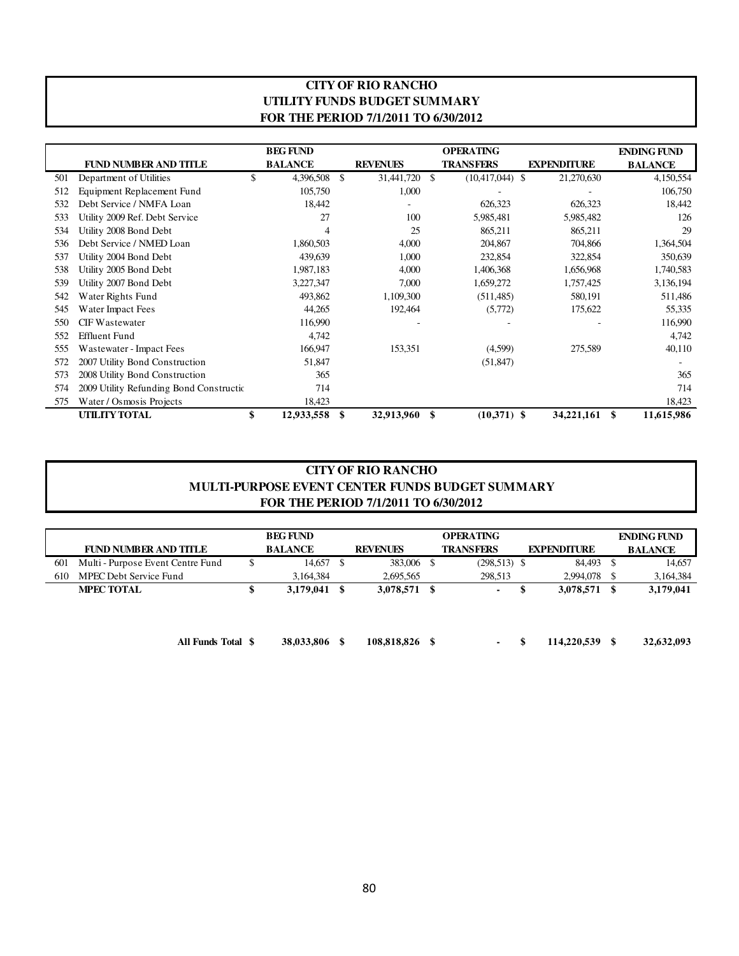#### **CITY OF RIO RANCHO UTILITY FUNDS BUDGET SUMMARY FOR THE PERIOD 7/1/2011 TO 6/30/2012**

|     |                                         | <b>BEG FUND</b>  |    |                 |     | <b>OPERATING</b>  |                    | <b>ENDING FUND</b> |
|-----|-----------------------------------------|------------------|----|-----------------|-----|-------------------|--------------------|--------------------|
|     | <b>FUND NUMBER AND TITLE</b>            | <b>BALANCE</b>   |    | <b>REVENUES</b> |     | <b>TRANSFERS</b>  | <b>EXPENDITURE</b> | <b>BALANCE</b>     |
| 501 | Department of Utilities                 | \$<br>4,396,508  | S  | 31,441,720      | \$. | $(10,417,044)$ \$ | 21,270,630         | 4,150,554          |
| 512 | Equipment Replacement Fund              | 105,750          |    | 1,000           |     |                   |                    | 106,750            |
| 532 | Debt Service / NMFA Loan                | 18,442           |    |                 |     | 626,323           | 626,323            | 18,442             |
| 533 | Utility 2009 Ref. Debt Service          | 27               |    | 100             |     | 5,985,481         | 5,985,482          | 126                |
| 534 | Utility 2008 Bond Debt                  |                  |    | 25              |     | 865,211           | 865,211            | 29                 |
| 536 | Debt Service / NMED Loan                | 1,860,503        |    | 4,000           |     | 204,867           | 704,866            | 1,364,504          |
| 537 | Utility 2004 Bond Debt                  | 439,639          |    | 1,000           |     | 232,854           | 322,854            | 350,639            |
| 538 | Utility 2005 Bond Debt                  | 1,987,183        |    | 4,000           |     | 1,406,368         | 1,656,968          | 1,740,583          |
| 539 | Utility 2007 Bond Debt                  | 3,227,347        |    | 7,000           |     | 1,659,272         | 1,757,425          | 3,136,194          |
| 542 | Water Rights Fund                       | 493,862          |    | 1,109,300       |     | (511, 485)        | 580,191            | 511,486            |
| 545 | Water Impact Fees                       | 44,265           |    | 192,464         |     | (5,772)           | 175,622            | 55,335             |
| 550 | <b>CIF Wastewater</b>                   | 116,990          |    |                 |     |                   |                    | 116,990            |
| 552 | <b>Effluent Fund</b>                    | 4,742            |    |                 |     |                   |                    | 4,742              |
| 555 | Wastewater - Impact Fees                | 166,947          |    | 153,351         |     | (4,599)           | 275,589            | 40,110             |
| 572 | 2007 Utility Bond Construction          | 51,847           |    |                 |     | (51, 847)         |                    |                    |
| 573 | 2008 Utility Bond Construction          | 365              |    |                 |     |                   |                    | 365                |
| 574 | 2009 Utility Refunding Bond Constructic | 714              |    |                 |     |                   |                    | 714                |
| 575 | Water / Osmosis Projects                | 18,423           |    |                 |     |                   |                    | 18,423             |
|     | <b>UTILITY TOTAL</b>                    | \$<br>12,933,558 | \$ | 32,913,960      | \$  | $(10,371)$ \$     | 34,221,161         | 11,615,986<br>S    |

#### **CITY OF RIO RANCHO MULTI-PURPOSE EVENT CENTER FUNDS BUDGET SUMMARY FOR THE PERIOD 7/1/2011 TO 6/30/2012**

|     |                                   | <b>BEG FUND</b> |   |                 | <b>OPERATING</b>         |                    |   | <b>ENDING FUND</b> |
|-----|-----------------------------------|-----------------|---|-----------------|--------------------------|--------------------|---|--------------------|
|     | <b>FUND NUMBER AND TITLE</b>      | <b>BALANCE</b>  |   | <b>REVENUES</b> | <b>TRANSFERS</b>         | <b>EXPENDITURE</b> |   | <b>BALANCE</b>     |
| 601 | Multi - Purpose Event Centre Fund | 14,657          | S | 383,006 \$      | $(298,513)$ \$           | 84,493             |   | 14.657             |
| 610 | MPEC Debt Service Fund            | 3.164.384       |   | 2,695,565       | 298,513                  | 2,994,078          |   | 3,164,384          |
|     | <b>MPEC TOTAL</b>                 | 3,179,041       |   | 3,078,571 \$    | $\overline{\phantom{a}}$ | 3,078,571          | S | 3,179,041          |
|     |                                   |                 |   |                 |                          |                    |   |                    |
|     |                                   |                 |   |                 |                          |                    |   |                    |
|     |                                   |                 |   |                 |                          |                    |   |                    |

**All Funds Total**

**\$ 108,818,826 38,033,806 \$ - \$ 114,220,539 \$ 32,632,093 \$**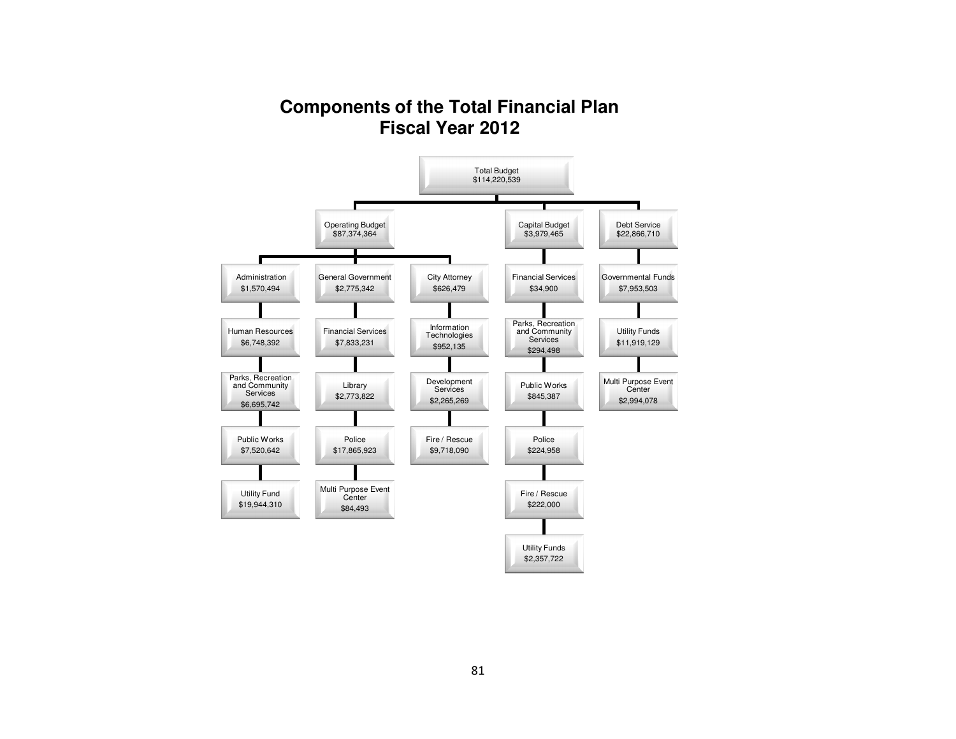# **Components of the Total Financial PlanFiscal Year 2012**

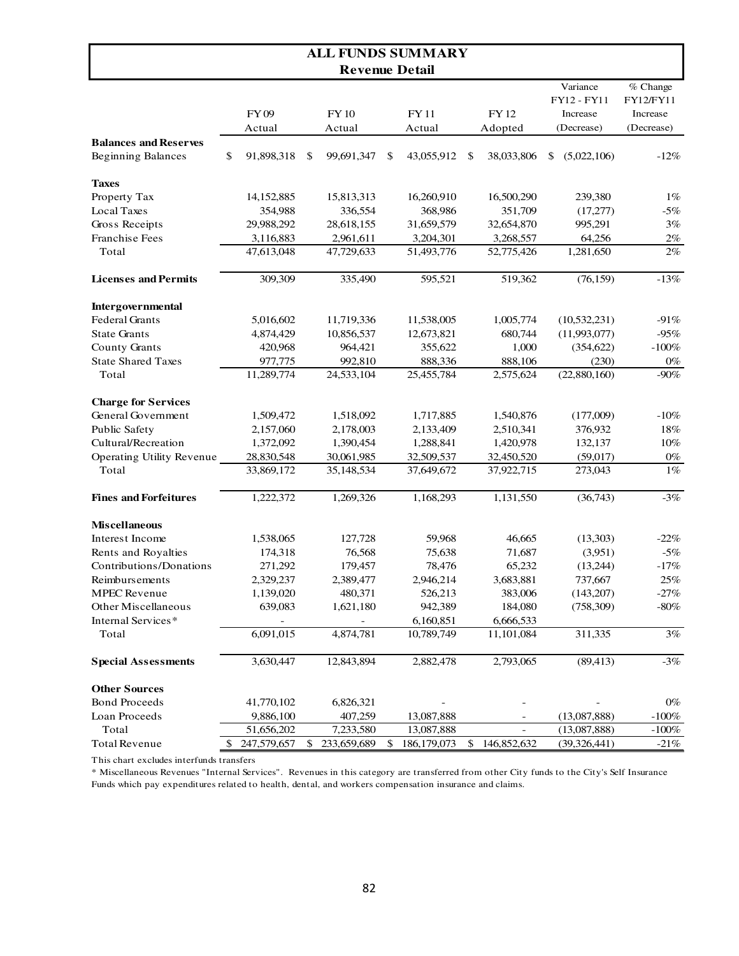|                                                           |    |                            |    |                          | <b>ALL FUNDS SUMMARY</b> |                   |                                                   |                                                 |
|-----------------------------------------------------------|----|----------------------------|----|--------------------------|--------------------------|-------------------|---------------------------------------------------|-------------------------------------------------|
|                                                           |    |                            |    | <b>Revenue Detail</b>    |                          |                   |                                                   |                                                 |
|                                                           |    | FY <sub>09</sub><br>Actual |    | <b>FY10</b><br>Actual    | <b>FY11</b><br>Actual    | FY 12<br>Adopted  | Variance<br>FY12 - FY11<br>Increase<br>(Decrease) | % Change<br>FY12/FY11<br>Increase<br>(Decrease) |
| <b>Balances and Reserves</b><br><b>Beginning Balances</b> | \$ | 91,898,318                 | -S | 99,691,347               | \$<br>43,055,912         | \$<br>38,033,806  | (5,022,106)<br>\$                                 | $-12%$                                          |
| <b>Taxes</b>                                              |    |                            |    |                          |                          |                   |                                                   |                                                 |
| Property Tax                                              |    | 14, 152, 885               |    | 15,813,313               | 16,260,910               | 16,500,290        | 239,380                                           | 1%                                              |
| Local Taxes                                               |    | 354,988                    |    | 336,554                  | 368,986                  | 351,709           | (17,277)                                          | $-5%$                                           |
| Gross Receipts                                            |    | 29,988,292                 |    | 28,618,155               | 31,659,579               | 32,654,870        | 995,291                                           | 3%                                              |
| Franchise Fees                                            |    | 3,116,883                  |    | 2,961,611                | 3,204,301                | 3,268,557         | 64,256                                            | 2%                                              |
| Total                                                     |    | 47,613,048                 |    | 47,729,633               | 51,493,776               | 52,775,426        | 1,281,650                                         | 2%                                              |
| <b>Licenses and Permits</b>                               |    | 309,309                    |    | 335,490                  | 595,521                  | 519,362           | (76, 159)                                         | $-13%$                                          |
| Intergovernmental                                         |    |                            |    |                          |                          |                   |                                                   |                                                 |
| <b>Federal Grants</b>                                     |    | 5,016,602                  |    | 11,719,336               | 11,538,005               | 1,005,774         | (10, 532, 231)                                    | $-91%$                                          |
| <b>State Grants</b>                                       |    | 4,874,429                  |    | 10,856,537               | 12,673,821               | 680,744           | (11,993,077)                                      | $-95%$                                          |
| <b>County Grants</b>                                      |    | 420,968                    |    | 964,421                  | 355,622                  | 1,000             | (354, 622)                                        | $-100%$                                         |
| <b>State Shared Taxes</b>                                 |    | 977,775                    |    | 992,810                  | 888,336                  | 888,106           | (230)                                             | $0\%$                                           |
| Total                                                     |    | 11,289,774                 |    | 24,533,104               | 25,455,784               | 2,575,624         | (22,880,160)                                      | $-90%$                                          |
| <b>Charge for Services</b>                                |    |                            |    |                          |                          |                   |                                                   |                                                 |
| General Government                                        |    | 1,509,472                  |    | 1,518,092                | 1,717,885                | 1,540,876         | (177,009)                                         | $-10%$                                          |
| Public Safety                                             |    | 2,157,060                  |    | 2,178,003                | 2,133,409                | 2,510,341         | 376,932                                           | 18%                                             |
| Cultural/Recreation                                       |    | 1,372,092                  |    | 1,390,454                | 1,288,841                | 1,420,978         | 132,137                                           | 10%                                             |
| Operating Utility Revenue                                 |    | 28,830,548                 |    | 30,061,985               | 32,509,537               | 32,450,520        | (59,017)                                          | $0\%$                                           |
| Total                                                     |    | 33,869,172                 |    | 35,148,534               | 37,649,672               | 37,922,715        | 273,043                                           | 1%                                              |
| <b>Fines and Forfeitures</b>                              |    | 1,222,372                  |    | 1,269,326                | 1,168,293                | 1,131,550         | (36,743)                                          | $-3%$                                           |
| <b>Miscellaneous</b>                                      |    |                            |    |                          |                          |                   |                                                   |                                                 |
| Interest Income                                           |    | 1,538,065                  |    | 127.728                  | 59,968                   | 46,665            | (13,303)                                          | $-22%$                                          |
| Rents and Royalties                                       |    | 174,318                    |    | 76,568                   | 75,638                   | 71,687            | (3,951)                                           | $-5%$                                           |
| Contributions/Donations                                   |    | 271,292                    |    | 179,457                  | 78,476                   | 65,232            | (13,244)                                          | $-17%$                                          |
| Reimbursements                                            |    | 2,329,237                  |    | 2,389,477                | 2,946,214                | 3,683,881         | 737,667                                           | 25%                                             |
| <b>MPEC</b> Revenue                                       |    | 1,139,020                  |    | 480,371                  | 526,213                  | 383,006           | (143,207)                                         | $-27%$                                          |
| Other Miscellaneous                                       |    | 639,083                    |    | 1,621,180                | 942,389                  | 184,080           | (758,309)                                         | $-80%$                                          |
| Internal Services*                                        |    | $\overline{\phantom{a}}$   |    | $\overline{\phantom{a}}$ | 6,160,851                | 6,666,533         |                                                   |                                                 |
| Total                                                     |    | 6,091,015                  |    | 4,874,781                | 10,789,749               | 11,101,084        | 311,335                                           | 3%                                              |
| <b>Special Assessments</b>                                |    | 3,630,447                  |    | 12,843,894               | 2,882,478                | 2,793,065         | (89, 413)                                         | $-3%$                                           |
| <b>Other Sources</b>                                      |    |                            |    |                          |                          |                   |                                                   |                                                 |
| <b>Bond Proceeds</b>                                      |    | 41,770,102                 |    | 6,826,321                |                          |                   |                                                   | $0\%$                                           |
| Loan Proceeds                                             |    | 9,886,100                  |    | 407,259                  | 13,087,888               |                   | (13,087,888)                                      | $-100%$                                         |
| Total                                                     |    | 51,656,202                 |    | 7,233,580                | 13,087,888               |                   | (13,087,888)                                      | $-100\%$                                        |
| <b>Total Revenue</b>                                      | S. | 247,579,657                | \$ | 233,659,689              | \$<br>186, 179, 073      | \$<br>146,852,632 | (39, 326, 441)                                    | $-21%$                                          |

This chart excludes interfunds transfers

\* Miscellaneous Revenues "Internal Services". Revenues in this category are transferred from other City funds to the City's Self Insurance Funds which pay expenditures related to health, dental, and workers compensation insurance and claims.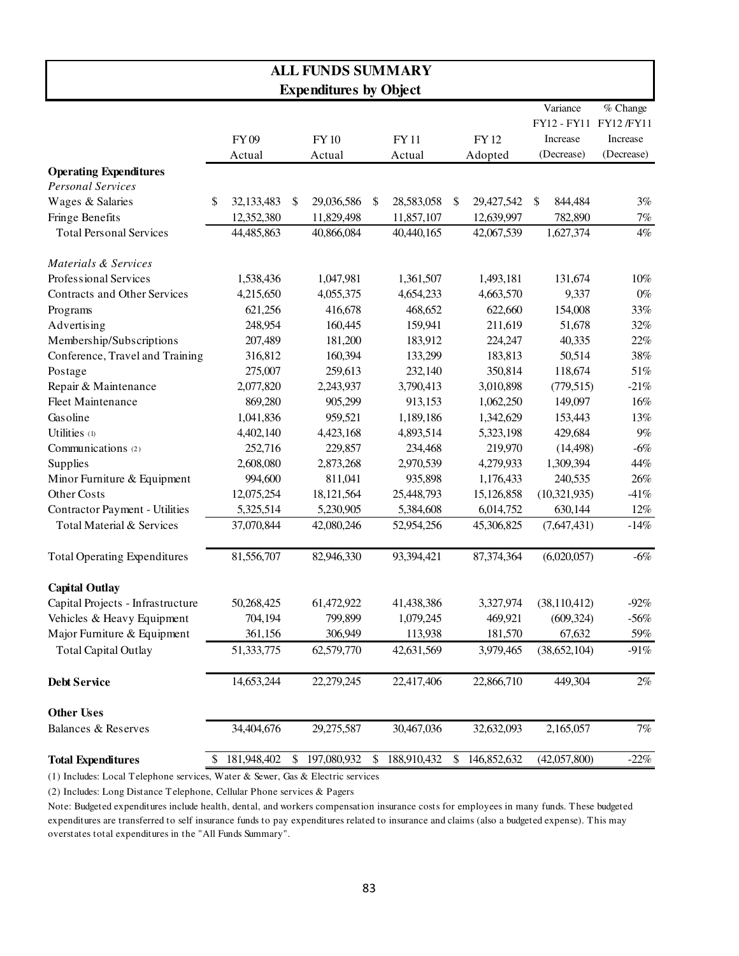| <b>ALL FUNDS SUMMARY</b>              |    |                            |    |                               |    |                       |    |                  |                                                   |                                                  |
|---------------------------------------|----|----------------------------|----|-------------------------------|----|-----------------------|----|------------------|---------------------------------------------------|--------------------------------------------------|
|                                       |    |                            |    | <b>Expenditures by Object</b> |    |                       |    |                  |                                                   |                                                  |
|                                       |    | FY <sub>09</sub><br>Actual |    | <b>FY10</b><br>Actual         |    | <b>FY11</b><br>Actual |    | FY 12<br>Adopted | Variance<br>FY12 - FY11<br>Increase<br>(Decrease) | % Change<br>FY12 /FY11<br>Increase<br>(Decrease) |
| <b>Operating Expenditures</b>         |    |                            |    |                               |    |                       |    |                  |                                                   |                                                  |
| <b>Personal Services</b>              |    |                            |    |                               |    |                       |    |                  |                                                   |                                                  |
| Wages & Salaries                      | \$ | 32,133,483                 | \$ | 29,036,586                    | \$ | 28,583,058            | \$ | 29,427,542       | 844,484<br>\$                                     | 3%                                               |
| Fringe Benefits                       |    | 12,352,380                 |    | 11,829,498                    |    | 11,857,107            |    | 12,639,997       | 782,890                                           | $7\%$                                            |
| <b>Total Personal Services</b>        |    | 44,485,863                 |    | 40,866,084                    |    | 40,440,165            |    | 42,067,539       | 1,627,374                                         | $4\%$                                            |
| Materials & Services                  |    |                            |    |                               |    |                       |    |                  |                                                   |                                                  |
| Professional Services                 |    | 1,538,436                  |    | 1,047,981                     |    | 1,361,507             |    | 1,493,181        | 131,674                                           | 10%                                              |
| Contracts and Other Services          |    | 4,215,650                  |    | 4,055,375                     |    | 4,654,233             |    | 4,663,570        | 9,337                                             | $0\%$                                            |
| Programs                              |    | 621,256                    |    | 416,678                       |    | 468,652               |    | 622,660          | 154,008                                           | 33%                                              |
| Advertising                           |    | 248,954                    |    | 160,445                       |    | 159,941               |    | 211,619          | 51,678                                            | 32%                                              |
| Membership/Subscriptions              |    | 207,489                    |    | 181,200                       |    | 183,912               |    | 224,247          | 40,335                                            | 22%                                              |
| Conference, Travel and Training       |    | 316,812                    |    | 160,394                       |    | 133,299               |    | 183,813          | 50,514                                            | 38%                                              |
| Postage                               |    | 275,007                    |    | 259,613                       |    | 232,140               |    | 350,814          | 118,674                                           | 51%                                              |
| Repair & Maintenance                  |    | 2,077,820                  |    | 2,243,937                     |    | 3,790,413             |    | 3,010,898        | (779, 515)                                        | $-21%$                                           |
| <b>Fleet Maintenance</b>              |    | 869,280                    |    | 905,299                       |    | 913,153               |    | 1,062,250        | 149,097                                           | 16%                                              |
| Gasoline                              |    | 1,041,836                  |    | 959,521                       |    | 1,189,186             |    | 1,342,629        | 153,443                                           | 13%                                              |
| Utilities (1)                         |    | 4,402,140                  |    | 4,423,168                     |    | 4,893,514             |    | 5,323,198        | 429,684                                           | 9%                                               |
| Communications (2)                    |    | 252,716                    |    | 229,857                       |    | 234,468               |    | 219,970          | (14, 498)                                         | $-6%$                                            |
| <b>Supplies</b>                       |    | 2,608,080                  |    | 2,873,268                     |    | 2,970,539             |    | 4,279,933        | 1,309,394                                         | 44%                                              |
| Minor Furniture & Equipment           |    | 994,600                    |    | 811,041                       |    | 935,898               |    | 1,176,433        | 240,535                                           | 26%                                              |
| Other Costs                           |    | 12,075,254                 |    | 18,121,564                    |    | 25,448,793            |    | 15,126,858       | (10, 321, 935)                                    | $-41%$                                           |
| <b>Contractor Payment - Utilities</b> |    | 5,325,514                  |    | 5,230,905                     |    | 5,384,608             |    | 6,014,752        | 630,144                                           | 12%                                              |
| Total Material & Services             |    | 37,070,844                 |    | 42,080,246                    |    | 52,954,256            |    | 45,306,825       | (7,647,431)                                       | $-14%$                                           |
| <b>Total Operating Expenditures</b>   |    | 81,556,707                 |    | 82,946,330                    |    | 93,394,421            |    | 87,374,364       | (6,020,057)                                       | $-6%$                                            |
| <b>Capital Outlay</b>                 |    |                            |    |                               |    |                       |    |                  |                                                   |                                                  |
| Capital Projects - Infrastructure     |    | 50,268,425                 |    | 61,472,922                    |    | 41,438,386            |    | 3,327,974        | (38,110,412)                                      | $-92\%$                                          |
| Vehicles & Heavy Equipment            |    | 704,194                    |    | 799,899                       |    | 1,079,245             |    | 469,921          | (609, 324)                                        | $-56%$                                           |
| Major Furniture & Equipment           |    | 361,156                    |    | 306,949                       |    | 113,938               |    | 181,570          | 67,632                                            | 59%                                              |
| <b>Total Capital Outlay</b>           |    | 51,333,775                 |    | 62,579,770                    |    | 42,631,569            |    | 3,979,465        | (38, 652, 104)                                    | $-91%$                                           |
| <b>Debt Service</b>                   |    | 14,653,244                 |    | 22,279,245                    |    | 22,417,406            |    | 22,866,710       | 449,304                                           | $2\%$                                            |
| <b>Other Uses</b>                     |    |                            |    |                               |    |                       |    |                  |                                                   |                                                  |
| <b>Balances &amp; Reserves</b>        |    | 34,404,676                 |    | 29,275,587                    |    | 30,467,036            |    | 32,632,093       | 2,165,057                                         | $7\%$                                            |
| <b>Total Expenditures</b>             | \$ | 181,948,402                | \$ | 197,080,932                   | \$ | 188,910,432           | \$ | 146,852,632      | (42,057,800)                                      | $-22\%$                                          |

(1) Includes: Local Telephone services, Water & Sewer, Gas & Electric services

(2) Includes: Long Distance Telephone, Cellular Phone services & Pagers

Note: Budgeted expenditures include health, dental, and workers compensation insurance costs for employees in many funds. These budgeted expenditures are transferred to self insurance funds to pay expenditures related to insurance and claims (also a budgeted expense). This may overstates total expenditures in the "All Funds Summary".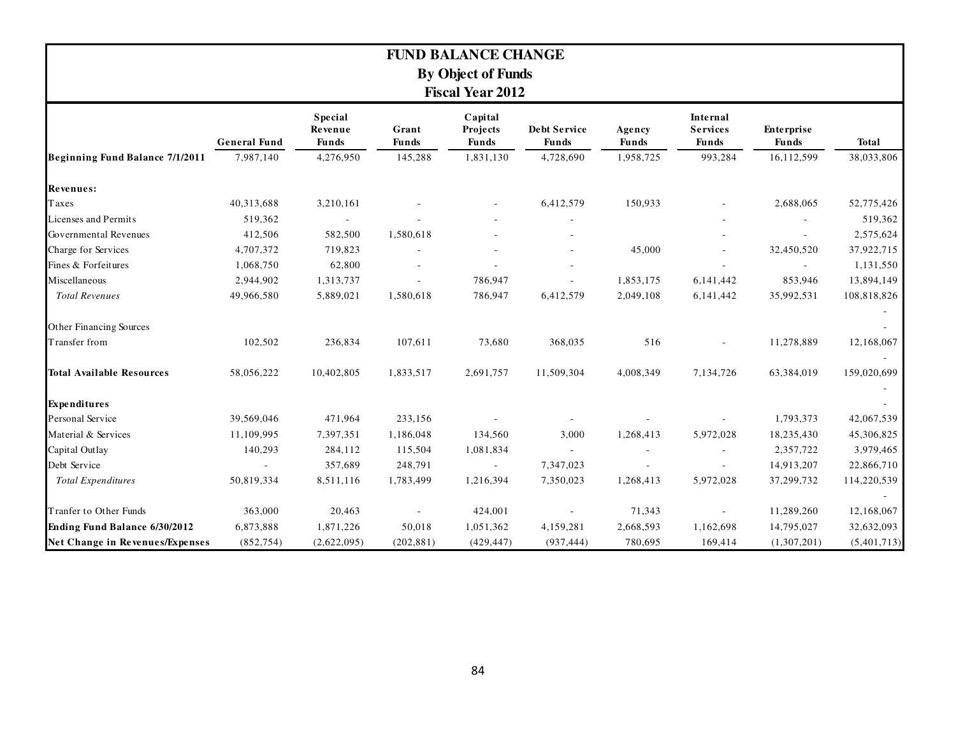| <b>FUND BALANCE CHANGE</b><br><b>By Object of Funds</b><br><b>Fiscal Year 2012</b> |                     |                                           |                       |                                     |                                     |                        |                                                    |                                   |              |  |  |
|------------------------------------------------------------------------------------|---------------------|-------------------------------------------|-----------------------|-------------------------------------|-------------------------------------|------------------------|----------------------------------------------------|-----------------------------------|--------------|--|--|
|                                                                                    | <b>General Fund</b> | <b>Special</b><br>Revenue<br><b>Funds</b> | Grant<br><b>Funds</b> | Capital<br>Projects<br><b>Funds</b> | <b>Debt Service</b><br><b>Funds</b> | Agency<br><b>Funds</b> | <b>Internal</b><br><b>Services</b><br><b>Funds</b> | <b>Enterprise</b><br><b>Funds</b> | <b>Total</b> |  |  |
| Beginning Fund Balance 7/1/2011                                                    | 7,987,140           | 4,276,950                                 | 145,288               | 1,831,130                           | 4,728,690                           | 1,958,725              | 993,284                                            | 16,112,599                        | 38,033,806   |  |  |
| Revenues:                                                                          |                     |                                           |                       |                                     |                                     |                        |                                                    |                                   |              |  |  |
| Taxes                                                                              | 40,313,688          | 3,210,161                                 |                       |                                     | 6,412,579                           | 150,933                |                                                    | 2,688,065                         | 52,775,426   |  |  |
| Licenses and Permits                                                               | 519,362             |                                           |                       |                                     |                                     |                        |                                                    |                                   | 519,362      |  |  |
| Governmental Revenues                                                              | 412,506             | 582,500                                   | 1,580,618             |                                     |                                     |                        |                                                    |                                   | 2,575,624    |  |  |
| Charge for Services                                                                | 4,707,372           | 719,823                                   |                       |                                     |                                     | 45,000                 |                                                    | 32,450,520                        | 37,922,715   |  |  |
| Fines & Forfeitures                                                                | 1,068,750           | 62,800                                    |                       |                                     |                                     |                        |                                                    |                                   | 1,131,550    |  |  |
| Miscellaneous                                                                      | 2,944,902           | 1,313,737                                 |                       | 786,947                             |                                     | 1,853,175              | 6,141,442                                          | 853,946                           | 13,894,149   |  |  |
| <b>Total Revenues</b>                                                              | 49,966,580          | 5,889,021                                 | 1,580,618             | 786,947                             | 6,412,579                           | 2,049,108              | 6,141,442                                          | 35,992,531                        | 108,818,826  |  |  |
| Other Financing Sources                                                            |                     |                                           |                       |                                     |                                     |                        |                                                    |                                   |              |  |  |
| Transfer from                                                                      | 102,502             | 236,834                                   | 107,611               | 73,680                              | 368,035                             | 516                    |                                                    | 11,278,889                        | 12,168,067   |  |  |
| <b>Total Available Resources</b>                                                   | 58,056,222          | 10,402,805                                | 1,833,517             | 2,691,757                           | 11,509,304                          | 4,008,349              | 7,134,726                                          | 63,384,019                        | 159,020,699  |  |  |
| <b>Expenditures</b>                                                                |                     |                                           |                       |                                     |                                     |                        |                                                    |                                   |              |  |  |
| Personal Service                                                                   | 39,569,046          | 471,964                                   | 233,156               |                                     |                                     |                        |                                                    | 1,793,373                         | 42,067,539   |  |  |
| Material & Services                                                                | 11,109,995          | 7,397,351                                 | 1,186,048             | 134,560                             | 3,000                               | 1,268,413              | 5,972,028                                          | 18,235,430                        | 45,306,825   |  |  |
| Capital Outlay                                                                     | 140,293             | 284,112                                   | 115,504               | 1,081,834                           |                                     |                        |                                                    | 2,357,722                         | 3,979,465    |  |  |
| Debt Service                                                                       |                     | 357,689                                   | 248,791               | $\overline{\phantom{a}}$            | 7,347,023                           |                        | $\overline{\phantom{a}}$                           | 14,913,207                        | 22,866,710   |  |  |
| <b>Total Expenditures</b>                                                          | 50,819,334          | 8,511,116                                 | 1,783,499             | 1,216,394                           | 7,350,023                           | 1,268,413              | 5,972,028                                          | 37,299,732                        | 114,220,539  |  |  |
| Tranfer to Other Funds                                                             | 363,000             | 20,463                                    |                       | 424,001                             |                                     | 71,343                 |                                                    | 11,289,260                        | 12,168,067   |  |  |
| Ending Fund Balance 6/30/2012                                                      | 6,873,888           | 1,871,226                                 | 50,018                | 1,051,362                           | 4,159,281                           | 2,668,593              | 1,162,698                                          | 14,795,027                        | 32,632,093   |  |  |
| Net Change in Revenues/Expenses                                                    | (852, 754)          | (2,622,095)                               | (202, 881)            | (429, 447)                          | (937, 444)                          | 780,695                | 169,414                                            | (1,307,201)                       | (5,401,713)  |  |  |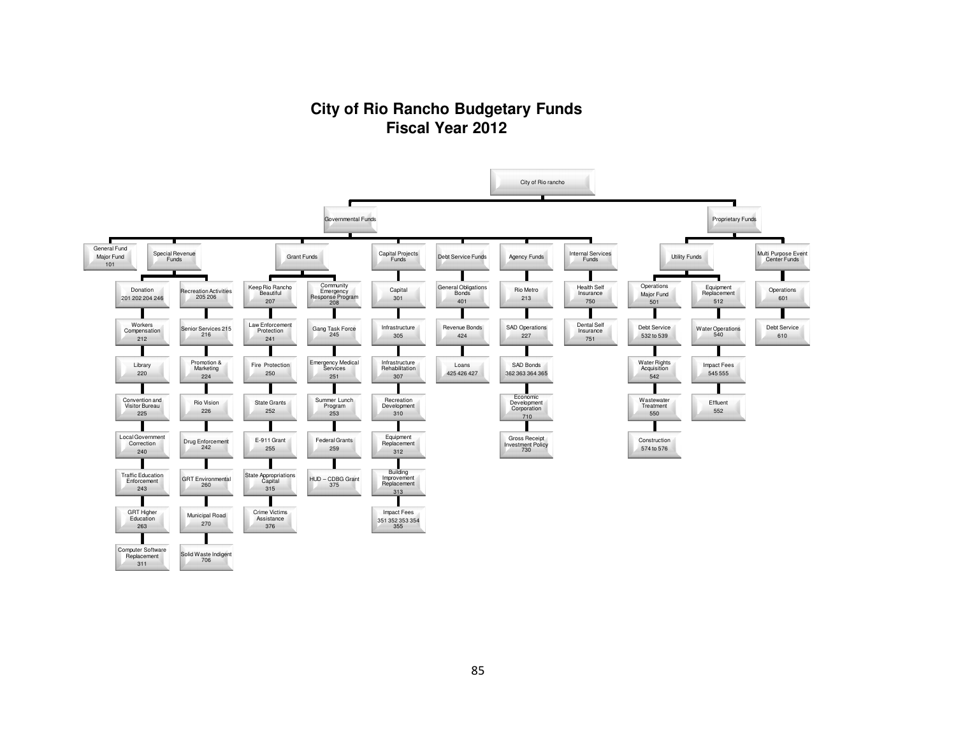### **City of Rio Rancho Budgetary FundsFiscal Year 2012**

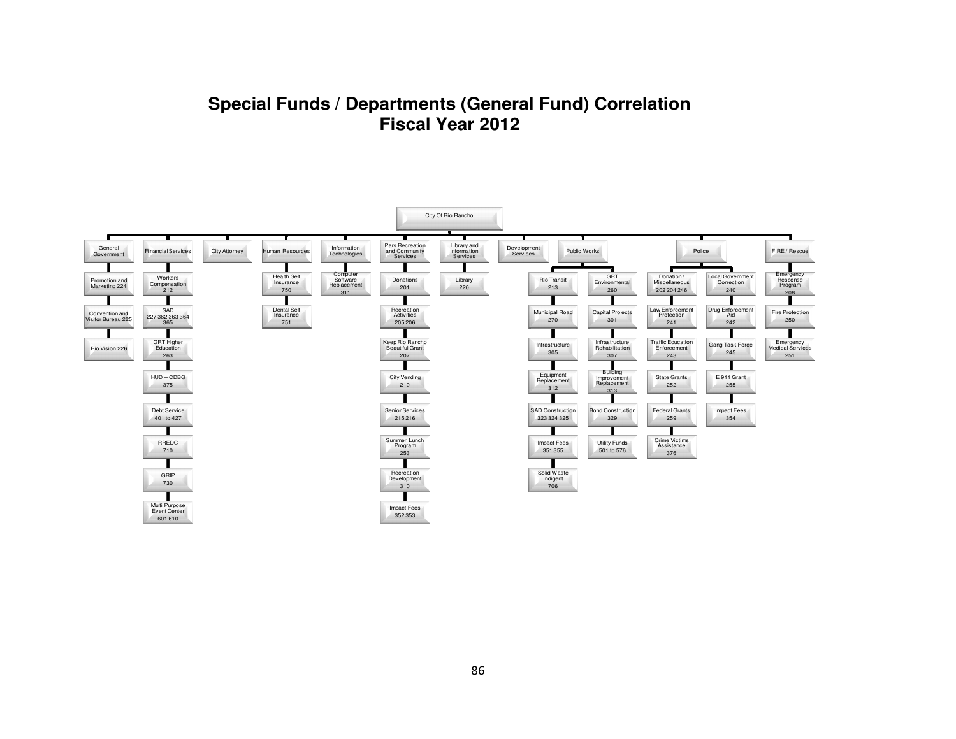## **Special Funds / Departments (General Fund) CorrelationFiscal Year 2012**

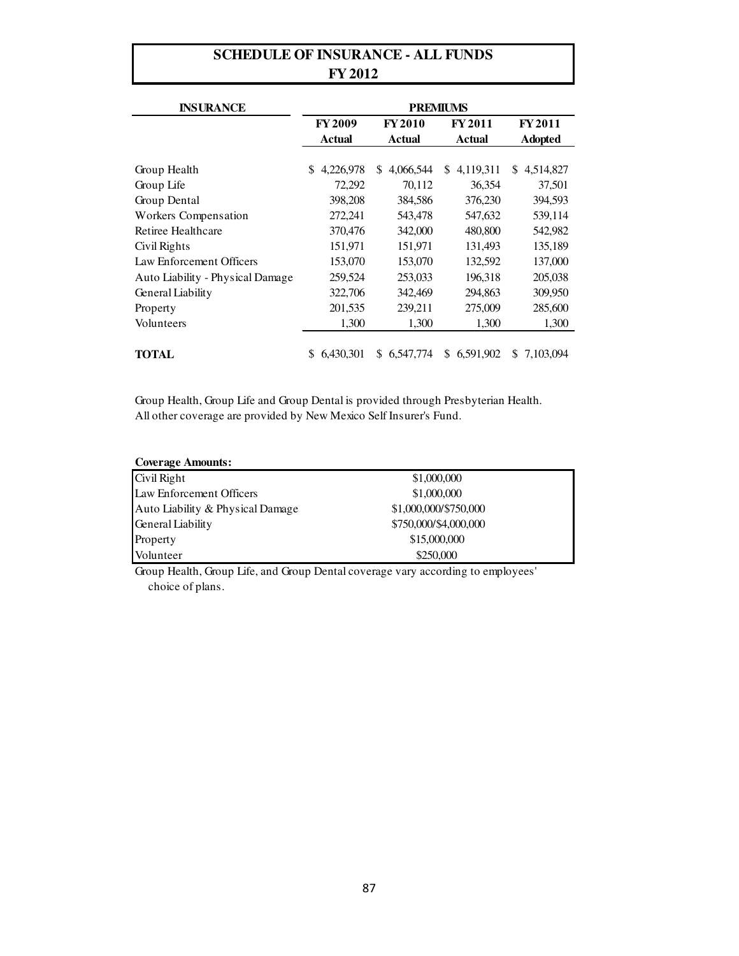### **SCHEDULE OF INSURANCE - ALL FUNDS FY 2012**

| <b>INSURANCE</b>                 | <b>PREMIUMS</b> |                  |                  |                  |  |  |  |  |  |  |
|----------------------------------|-----------------|------------------|------------------|------------------|--|--|--|--|--|--|
|                                  | <b>FY2009</b>   | <b>FY2010</b>    | <b>FY 2011</b>   | <b>FY 2011</b>   |  |  |  |  |  |  |
|                                  | <b>Actual</b>   | Actual           | Actual           | <b>Adopted</b>   |  |  |  |  |  |  |
|                                  |                 |                  |                  |                  |  |  |  |  |  |  |
| Group Health                     | 4,226,978<br>S  | 4.066.544<br>\$. | 4,119,311<br>\$. | 4,514,827<br>\$. |  |  |  |  |  |  |
| Group Life                       | 72,292          | 70,112           | 36,354           | 37,501           |  |  |  |  |  |  |
| Group Dental                     | 398,208         | 384,586          | 376,230          | 394,593          |  |  |  |  |  |  |
| Workers Compensation             | 272,241         | 543,478          | 547,632          | 539,114          |  |  |  |  |  |  |
| Retiree Healthcare               | 370,476         | 342,000          | 480,800          | 542,982          |  |  |  |  |  |  |
| Civil Rights                     | 151,971         | 151,971          | 131,493          | 135,189          |  |  |  |  |  |  |
| Law Enforcement Officers         | 153,070         | 153,070          | 132,592          | 137,000          |  |  |  |  |  |  |
| Auto Liability - Physical Damage | 259,524         | 253,033          | 196,318          | 205,038          |  |  |  |  |  |  |
| General Liability                | 322,706         | 342,469          | 294,863          | 309,950          |  |  |  |  |  |  |
| Property                         | 201,535         | 239,211          | 275,009          | 285,600          |  |  |  |  |  |  |
| Volunteers                       | 1,300           | 1,300            | 1,300            | 1,300            |  |  |  |  |  |  |
|                                  |                 |                  |                  |                  |  |  |  |  |  |  |
| TOTAL                            | 6,430,301       | S.<br>6.547.774  | 6,591,902<br>\$  | S.<br>7.103.094  |  |  |  |  |  |  |

Group Health, Group Life and Group Dental is provided through Presbyterian Health. All other coverage are provided by New Mexico Self Insurer's Fund.

| <b>Coverage Amounts:</b>         |                       |  |
|----------------------------------|-----------------------|--|
| Civil Right                      | \$1,000,000           |  |
| Law Enforcement Officers         | \$1,000,000           |  |
| Auto Liability & Physical Damage | \$1,000,000/\$750,000 |  |
| <b>General Liability</b>         | \$750,000/\$4,000,000 |  |
| Property                         | \$15,000,000          |  |
| Volunteer                        | \$250,000             |  |

Group Health, Group Life, and Group Dental coverage vary according to employees' choice of plans.